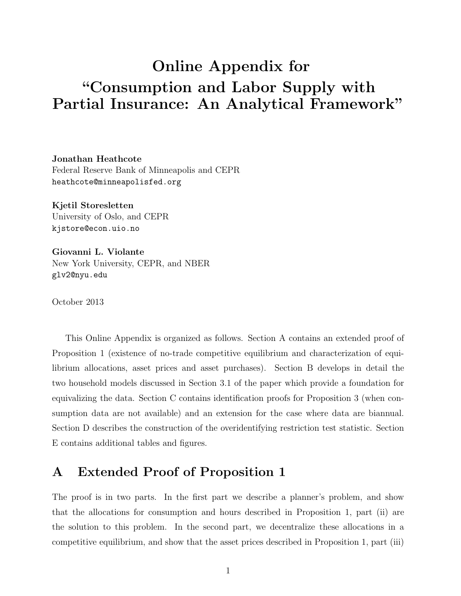# Online Appendix for "Consumption and Labor Supply with Partial Insurance: An Analytical Framework"

Jonathan Heathcote Federal Reserve Bank of Minneapolis and CEPR heathcote@minneapolisfed.org

Kjetil Storesletten University of Oslo, and CEPR kjstore@econ.uio.no

Giovanni L. Violante New York University, CEPR, and NBER glv2@nyu.edu

October 2013

This Online Appendix is organized as follows. Section A contains an extended proof of Proposition 1 (existence of no-trade competitive equilibrium and characterization of equilibrium allocations, asset prices and asset purchases). Section B develops in detail the two household models discussed in Section 3.1 of the paper which provide a foundation for equivalizing the data. Section C contains identification proofs for Proposition 3 (when consumption data are not available) and an extension for the case where data are biannual. Section D describes the construction of the overidentifying restriction test statistic. Section E contains additional tables and figures.

### A Extended Proof of Proposition 1

The proof is in two parts. In the first part we describe a planner's problem, and show that the allocations for consumption and hours described in Proposition 1, part (ii) are the solution to this problem. In the second part, we decentralize these allocations in a competitive equilibrium, and show that the asset prices described in Proposition 1, part (iii)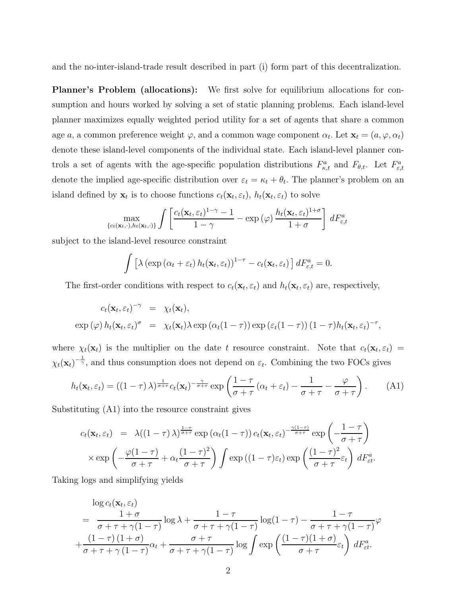and the no-inter-island-trade result described in part (i) form part of this decentralization.

Planner's Problem (allocations): We first solve for equilibrium allocations for consumption and hours worked by solving a set of static planning problems. Each island-level planner maximizes equally weighted period utility for a set of agents that share a common age a, a common preference weight  $\varphi$ , and a common wage component  $\alpha_t$ . Let  $\mathbf{x}_t = (a, \varphi, \alpha_t)$ denote these island-level components of the individual state. Each island-level planner controls a set of agents with the age-specific population distributions  $F_{\kappa,t}^a$  and  $F_{\theta,t}$ . Let  $F_{\varepsilon,t}^a$ denote the implied age-specific distribution over  $\varepsilon_t = \kappa_t + \theta_t$ . The planner's problem on an island defined by  $\mathbf{x}_t$  is to choose functions  $c_t(\mathbf{x}_t, \varepsilon_t)$ ,  $h_t(\mathbf{x}_t, \varepsilon_t)$  to solve

$$
\max_{\{c_t(\mathbf{x}_t,\cdot),h_t(\mathbf{x}_t,\cdot)\}} \int \left[ \frac{c_t(\mathbf{x}_t,\varepsilon_t)^{1-\gamma}-1}{1-\gamma} - \exp\left(\varphi\right) \frac{h_t(\mathbf{x}_t,\varepsilon_t)^{1+\sigma}}{1+\sigma} \right] dF_{\varepsilon,t}^a
$$

subject to the island-level resource constraint

$$
\int \left[ \lambda \left( \exp \left( \alpha_t + \varepsilon_t \right) h_t(\mathbf{x}_t, \varepsilon_t) \right)^{1-\tau} - c_t(\mathbf{x}_t, \varepsilon_t) \right] dF_{\varepsilon,t}^a = 0.
$$

The first-order conditions with respect to  $c_t(\mathbf{x}_t, \varepsilon_t)$  and  $h_t(\mathbf{x}_t, \varepsilon_t)$  are, respectively,

$$
c_t(\mathbf{x}_t, \varepsilon_t)^{-\gamma} = \chi_t(\mathbf{x}_t),
$$
  
\n
$$
\exp(\varphi) h_t(\mathbf{x}_t, \varepsilon_t)^{\sigma} = \chi_t(\mathbf{x}_t) \lambda \exp(\alpha_t(1-\tau)) \exp(\varepsilon_t(1-\tau)) (1-\tau) h_t(\mathbf{x}_t, \varepsilon_t)^{-\tau},
$$

where  $\chi_t(\mathbf{x}_t)$  is the multiplier on the date t resource constraint. Note that  $c_t(\mathbf{x}_t, \varepsilon_t)$  $\chi_t(\mathbf{x}_t)^{-\frac{1}{\gamma}}$ , and thus consumption does not depend on  $\varepsilon_t$ . Combining the two FOCs gives

$$
h_t(\mathbf{x}_t, \varepsilon_t) = ((1 - \tau) \lambda)^{\frac{1}{\sigma + \tau}} c_t(\mathbf{x}_t)^{-\frac{\gamma}{\sigma + \tau}} \exp\left(\frac{1 - \tau}{\sigma + \tau} (\alpha_t + \varepsilon_t) - \frac{1}{\sigma + \tau} - \frac{\varphi}{\sigma + \tau}\right). \tag{A1}
$$

Substituting (A1) into the resource constraint gives

$$
c_t(\mathbf{x}_t, \varepsilon_t) = \lambda((1-\tau)\lambda)^{\frac{1-\tau}{\sigma+\tau}} \exp\left(\alpha_t(1-\tau)\right) c_t(\mathbf{x}_t, \varepsilon_t)^{-\frac{\gamma(1-\tau)}{\sigma+\tau}} \exp\left(-\frac{1-\tau}{\sigma+\tau}\right)
$$

$$
\times \exp\left(-\frac{\varphi(1-\tau)}{\sigma+\tau} + \alpha_t \frac{(1-\tau)^2}{\sigma+\tau}\right) \int \exp\left((1-\tau)\varepsilon_t\right) \exp\left(\frac{(1-\tau)^2}{\sigma+\tau}\varepsilon_t\right) dF_{\varepsilon t}^a.
$$

Taking logs and simplifying yields

$$
\log c_t(\mathbf{x}_t, \varepsilon_t)
$$
\n
$$
= \frac{1+\sigma}{\sigma + \tau + \gamma(1-\tau)} \log \lambda + \frac{1-\tau}{\sigma + \tau + \gamma(1-\tau)} \log(1-\tau) - \frac{1-\tau}{\sigma + \tau + \gamma(1-\tau)} \varphi
$$
\n
$$
+ \frac{(1-\tau)(1+\sigma)}{\sigma + \tau + \gamma(1-\tau)} \alpha_t + \frac{\sigma + \tau}{\sigma + \tau + \gamma(1-\tau)} \log \int \exp\left(\frac{(1-\tau)(1+\sigma)}{\sigma + \tau}\varepsilon_t\right) dF_{\varepsilon t}^a.
$$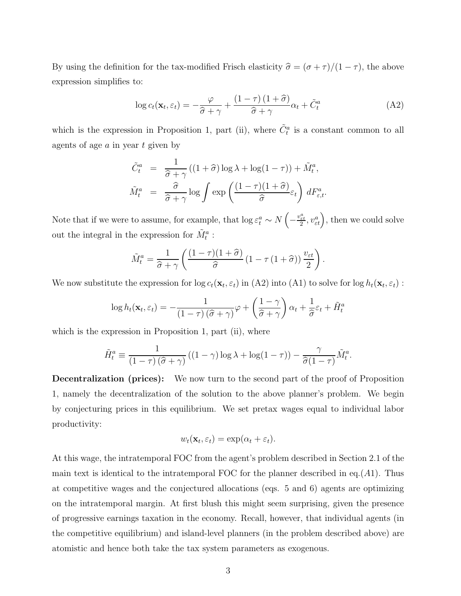By using the definition for the tax-modified Frisch elasticity  $\hat{\sigma} = (\sigma + \tau)/(1 - \tau)$ , the above expression simplifies to:

$$
\log c_t(\mathbf{x}_t, \varepsilon_t) = -\frac{\varphi}{\hat{\sigma} + \gamma} + \frac{(1 - \tau)(1 + \hat{\sigma})}{\hat{\sigma} + \gamma} \alpha_t + \tilde{C}_t^a \tag{A2}
$$

which is the expression in Proposition 1, part (ii), where  $\tilde{C}^a_t$  is a constant common to all agents of age  $a$  in year  $t$  given by

$$
\tilde{C}_t^a = \frac{1}{\hat{\sigma} + \gamma} ((1 + \hat{\sigma}) \log \lambda + \log(1 - \tau)) + \tilde{M}_t^a,
$$
  

$$
\tilde{M}_t^a = \frac{\hat{\sigma}}{\hat{\sigma} + \gamma} \log \int \exp \left( \frac{(1 - \tau)(1 + \hat{\sigma})}{\hat{\sigma}} \varepsilon_t \right) dF_{\varepsilon, t}^a.
$$

Note that if we were to assume, for example, that  $\log \varepsilon_t^a \sim N\left(-\frac{v_{\varepsilon t}^a}{2}, v_{\varepsilon t}^a\right)$ , then we could solve out the integral in the expression for  $\tilde{M}_t^a$ :

$$
\tilde{M}_t^a = \frac{1}{\hat{\sigma} + \gamma} \left( \frac{(1-\tau)(1+\hat{\sigma})}{\hat{\sigma}} \left( 1 - \tau (1+\hat{\sigma}) \right) \frac{v_{\varepsilon t}}{2} \right).
$$

We now substitute the expression for  $\log c_t(\mathbf{x}_t, \varepsilon_t)$  in (A2) into (A1) to solve for  $\log h_t(\mathbf{x}_t, \varepsilon_t)$ :

$$
\log h_t(\mathbf{x}_t, \varepsilon_t) = -\frac{1}{(1-\tau)(\widehat{\sigma} + \gamma)}\varphi + \left(\frac{1-\gamma}{\widehat{\sigma} + \gamma}\right)\alpha_t + \frac{1}{\widehat{\sigma}}\varepsilon_t + \tilde{H}_t^a
$$

which is the expression in Proposition 1, part (ii), where

$$
\tilde{H}_t^a \equiv \frac{1}{(1-\tau)(\hat{\sigma}+\gamma)} \left( (1-\gamma) \log \lambda + \log(1-\tau) \right) - \frac{\gamma}{\hat{\sigma}(1-\tau)} \tilde{M}_t^a.
$$

**Decentralization (prices):** We now turn to the second part of the proof of Proposition 1, namely the decentralization of the solution to the above planner's problem. We begin by conjecturing prices in this equilibrium. We set pretax wages equal to individual labor productivity:

$$
w_t(\mathbf{x}_t, \varepsilon_t) = \exp(\alpha_t + \varepsilon_t).
$$

At this wage, the intratemporal FOC from the agent's problem described in Section 2.1 of the main text is identical to the intratemporal FOC for the planner described in eq.  $(A1)$ . Thus at competitive wages and the conjectured allocations (eqs. 5 and 6) agents are optimizing on the intratemporal margin. At first blush this might seem surprising, given the presence of progressive earnings taxation in the economy. Recall, however, that individual agents (in the competitive equilibrium) and island-level planners (in the problem described above) are atomistic and hence both take the tax system parameters as exogenous.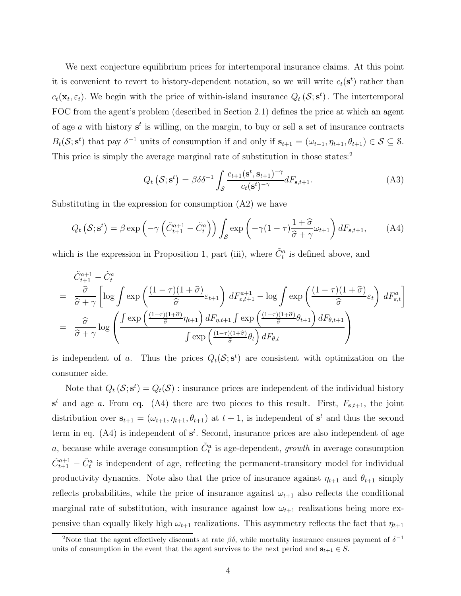We next conjecture equilibrium prices for intertemporal insurance claims. At this point it is convenient to revert to history-dependent notation, so we will write  $c_t(\mathbf{s}^t)$  rather than  $c_t(\mathbf{x}_t, \varepsilon_t)$ . We begin with the price of within-island insurance  $Q_t(\mathcal{S}; \mathbf{s}^t)$ . The intertemporal FOC from the agent's problem (described in Section 2.1) defines the price at which an agent of age a with history  $s^t$  is willing, on the margin, to buy or sell a set of insurance contracts  $B_t(\mathcal{S}; s^t)$  that pay  $\delta^{-1}$  units of consumption if and only if  $s_{t+1} = (\omega_{t+1}, \eta_{t+1}, \theta_{t+1}) \in \mathcal{S} \subseteq \mathcal{S}$ . This price is simply the average marginal rate of substitution in those states:<sup>2</sup>

$$
Q_t\left(\mathcal{S}; \mathbf{s}^t\right) = \beta \delta \delta^{-1} \int_{\mathcal{S}} \frac{c_{t+1}(\mathbf{s}^t, \mathbf{s}_{t+1})^{-\gamma}}{c_t(\mathbf{s}^t)^{-\gamma}} dF_{\mathbf{s}, t+1}.\tag{A3}
$$

Substituting in the expression for consumption (A2) we have

$$
Q_t\left(\mathcal{S};\mathbf{s}^t\right) = \beta \exp\left(-\gamma \left(\tilde{C}_{t+1}^{a+1} - \tilde{C}_t^a\right)\right) \int_{\mathcal{S}} \exp\left(-\gamma (1-\tau) \frac{1+\hat{\sigma}}{\hat{\sigma}+\gamma} \omega_{t+1}\right) dF_{\mathbf{s},t+1},\tag{A4}
$$

which is the expression in Proposition 1, part (iii), where  $\tilde{C}_{t}^{a}$  is defined above, and

$$
\tilde{C}_{t+1}^{a+1} - \tilde{C}_t^a
$$
\n
$$
= \frac{\hat{\sigma}}{\hat{\sigma} + \gamma} \left[ \log \int \exp \left( \frac{(1-\tau)(1+\hat{\sigma})}{\hat{\sigma}} \varepsilon_{t+1} \right) dF_{\varepsilon, t+1}^{a+1} - \log \int \exp \left( \frac{(1-\tau)(1+\hat{\sigma})}{\hat{\sigma}} \varepsilon_t \right) dF_{\varepsilon, t}^a \right]
$$
\n
$$
= \frac{\hat{\sigma}}{\hat{\sigma} + \gamma} \log \left( \frac{\int \exp \left( \frac{(1-\tau)(1+\hat{\sigma})}{\hat{\sigma}} \eta_{t+1} \right) dF_{\eta, t+1} \int \exp \left( \frac{(1-\tau)(1+\hat{\sigma})}{\hat{\sigma}} \theta_{t+1} \right) dF_{\theta, t+1}}{\int \exp \left( \frac{(1-\tau)(1+\hat{\sigma})}{\hat{\sigma}} \theta_t \right) dF_{\theta, t}} \right)
$$

is independent of a. Thus the prices  $Q_t(\mathcal{S}; s^t)$  are consistent with optimization on the consumer side.

Note that  $Q_t(\mathcal{S}; s^t) = Q_t(\mathcal{S})$ : insurance prices are independent of the individual history  $s<sup>t</sup>$  and age a. From eq. (A4) there are two pieces to this result. First,  $F_{s,t+1}$ , the joint distribution over  $\mathbf{s}_{t+1} = (\omega_{t+1}, \eta_{t+1}, \theta_{t+1})$  at  $t+1$ , is independent of  $\mathbf{s}^t$  and thus the second term in eq.  $(A4)$  is independent of  $s<sup>t</sup>$ . Second, insurance prices are also independent of age a, because while average consumption  $\tilde{C}_t^a$  is age-dependent, *growth* in average consumption  $\tilde{C}_{t+1}^{a+1} - \tilde{C}_{t}^{a}$  is independent of age, reflecting the permanent-transitory model for individual productivity dynamics. Note also that the price of insurance against  $\eta_{t+1}$  and  $\theta_{t+1}$  simply reflects probabilities, while the price of insurance against  $\omega_{t+1}$  also reflects the conditional marginal rate of substitution, with insurance against low  $\omega_{t+1}$  realizations being more expensive than equally likely high  $\omega_{t+1}$  realizations. This asymmetry reflects the fact that  $\eta_{t+1}$ 

<sup>&</sup>lt;sup>2</sup>Note that the agent effectively discounts at rate  $\beta\delta$ , while mortality insurance ensures payment of  $\delta^{-1}$ units of consumption in the event that the agent survives to the next period and  $s_{t+1} \in S$ .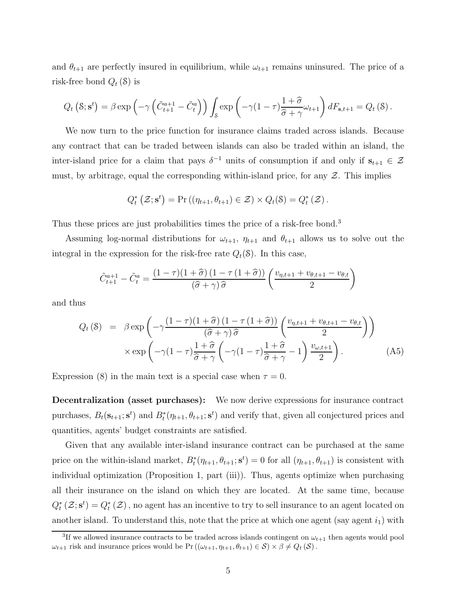and  $\theta_{t+1}$  are perfectly insured in equilibrium, while  $\omega_{t+1}$  remains uninsured. The price of a risk-free bond  $Q_t$  (S) is

$$
Q_t\left(\mathcal{S};\mathbf{s}^t\right) = \beta \exp\left(-\gamma \left(\tilde{C}_{t+1}^{a+1} - \tilde{C}_t^a\right)\right) \int_{\mathcal{S}} \exp\left(-\gamma (1-\tau) \frac{1+\widehat{\sigma}}{\widehat{\sigma}+\gamma} \omega_{t+1}\right) dF_{\mathbf{s},t+1} = Q_t\left(\mathcal{S}\right).
$$

We now turn to the price function for insurance claims traded across islands. Because any contract that can be traded between islands can also be traded within an island, the inter-island price for a claim that pays  $\delta^{-1}$  units of consumption if and only if  $s_{t+1} \in \mathcal{Z}$ must, by arbitrage, equal the corresponding within-island price, for any  $\mathcal{Z}$ . This implies

$$
Q_t^* \left( \mathcal{Z}; \mathbf{s}^t \right) = \Pr \left( \left( \eta_{t+1}, \theta_{t+1} \right) \in \mathcal{Z} \right) \times Q_t(\mathcal{S}) = Q_t^* \left( \mathcal{Z} \right).
$$

Thus these prices are just probabilities times the price of a risk-free bond.<sup>3</sup>

Assuming log-normal distributions for  $\omega_{t+1}$ ,  $\eta_{t+1}$  and  $\theta_{t+1}$  allows us to solve out the integral in the expression for the risk-free rate  $Q_t(\mathcal{S})$ . In this case,

$$
\tilde{C}_{t+1}^{a+1} - \tilde{C}_t^a = \frac{(1-\tau)(1+\hat{\sigma}) (1-\tau (1+\hat{\sigma}))}{(\hat{\sigma} + \gamma)\hat{\sigma}} \left(\frac{v_{\eta,t+1} + v_{\theta,t+1} - v_{\theta,t}}{2}\right)
$$

and thus

$$
Q_{t}(\mathcal{S}) = \beta \exp\left(-\gamma \frac{(1-\tau)(1+\hat{\sigma})(1-\tau(1+\hat{\sigma}))}{(\hat{\sigma}+\gamma)\hat{\sigma}} \left(\frac{v_{\eta,t+1}+v_{\theta,t+1}-v_{\theta,t}}{2}\right)\right) \times \exp\left(-\gamma (1-\tau)\frac{1+\hat{\sigma}}{\hat{\sigma}+\gamma} \left(-\gamma (1-\tau)\frac{1+\hat{\sigma}}{\hat{\sigma}+\gamma}-1\right)\frac{v_{\omega,t+1}}{2}\right).
$$
(A5)

Expression (8) in the main text is a special case when  $\tau = 0$ .

Decentralization (asset purchases): We now derive expressions for insurance contract purchases,  $B_t(\mathbf{s}_{t+1}; \mathbf{s}^t)$  and  $B_t^*(\eta_{t+1}, \theta_{t+1}; \mathbf{s}^t)$  and verify that, given all conjectured prices and quantities, agents' budget constraints are satisfied.

Given that any available inter-island insurance contract can be purchased at the same price on the within-island market,  $B_t^*(\eta_{t+1}, \theta_{t+1}; \mathbf{s}^t) = 0$  for all  $(\eta_{t+1}, \theta_{t+1})$  is consistent with individual optimization (Proposition 1, part (iii)). Thus, agents optimize when purchasing all their insurance on the island on which they are located. At the same time, because  $Q_t^*(\mathcal{Z}; \mathbf{s}^t) = Q_t^*(\mathcal{Z})$ , no agent has an incentive to try to sell insurance to an agent located on another island. To understand this, note that the price at which one agent (say agent  $i_1$ ) with

<sup>&</sup>lt;sup>3</sup>If we allowed insurance contracts to be traded across islands contingent on  $\omega_{t+1}$  then agents would pool  $\omega_{t+1}$  risk and insurance prices would be Pr  $((\omega_{t+1}, \eta_{t+1}, \theta_{t+1}) \in S) \times \beta \neq Q_t(S)$ .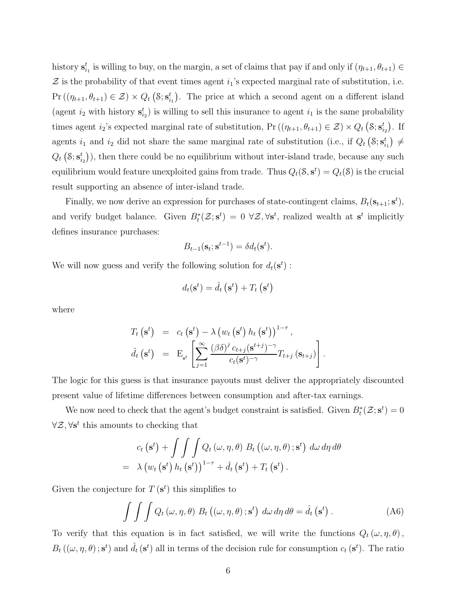history  $\mathbf{s}_{i_1}^t$  is willing to buy, on the margin, a set of claims that pay if and only if  $(\eta_{t+1}, \theta_{t+1}) \in$  $\mathcal Z$  is the probability of that event times agent  $i_1$ 's expected marginal rate of substitution, i.e.  $Pr((\eta_{t+1}, \theta_{t+1}) \in \mathcal{Z}) \times Q_t(\mathcal{S}; \mathbf{s}_{i_1}^t)$ . The price at which a second agent on a different island (agent  $i_2$  with history  $s_{i_2}^t$ ) is willing to sell this insurance to agent  $i_1$  is the same probability times agent  $i_2$ 's expected marginal rate of substitution, Pr  $((\eta_{t+1}, \theta_{t+1}) \in \mathcal{Z}) \times Q_t \left( \mathcal{S}; \mathbf{s}_{i_2}^t \right)$ . If agents  $i_1$  and  $i_2$  did not share the same marginal rate of substitution (i.e., if  $Q_t(S; s_{i_1}^t) \neq$  $Q_t\left(\mathcal{S};\mathbf{s}_{i_2}^t\right)$ , then there could be no equilibrium without inter-island trade, because any such equilibrium would feature unexploited gains from trade. Thus  $Q_t(\mathcal{S}, \mathbf{s}^t) = Q_t(\mathcal{S})$  is the crucial result supporting an absence of inter-island trade.

Finally, we now derive an expression for purchases of state-contingent claims,  $B_t(s_{t+1}; s^t)$ , and verify budget balance. Given  $B_t^*(\mathcal{Z}; \mathbf{s}^t) = 0 \ \forall \mathcal{Z}, \forall \mathbf{s}^t$ , realized wealth at  $\mathbf{s}^t$  implicitly defines insurance purchases:

$$
B_{t-1}(\mathbf{s}_t; \mathbf{s}^{t-1}) = \delta d_t(\mathbf{s}^t).
$$

We will now guess and verify the following solution for  $d_t(\mathbf{s}^t)$ :

$$
d_t(\mathbf{s}^t) = \hat{d}_t\left(\mathbf{s}^t\right) + T_t\left(\mathbf{s}^t\right)
$$

where

$$
T_t\left(\mathbf{s}^t\right) = c_t\left(\mathbf{s}^t\right) - \lambda \left(w_t\left(\mathbf{s}^t\right)h_t\left(\mathbf{s}^t\right)\right)^{1-\tau},
$$
  

$$
\hat{d}_t\left(\mathbf{s}^t\right) = \mathbf{E}_{\mathbf{s}^t}\left[\sum_{j=1}^{\infty} \frac{(\beta\delta)^j c_{t+j}(\mathbf{s}^{t+j})^{-\gamma}}{c_t(\mathbf{s}^t)^{-\gamma}}T_{t+j}\left(\mathbf{s}_{t+j}\right)\right].
$$

The logic for this guess is that insurance payouts must deliver the appropriately discounted present value of lifetime differences between consumption and after-tax earnings.

We now need to check that the agent's budget constraint is satisfied. Given  $B_t^*(\mathcal{Z}; \mathbf{s}^t) = 0$  $\forall \mathcal{Z}, \forall s^t$  this amounts to checking that

$$
c_{t}(\mathbf{s}^{t}) + \int \int \int Q_{t}(\omega, \eta, \theta) B_{t}((\omega, \eta, \theta); \mathbf{s}^{t}) d\omega d\eta d\theta
$$
  
=  $\lambda (w_{t}(\mathbf{s}^{t}) h_{t}(\mathbf{s}^{t}))^{1-\tau} + \hat{d}_{t}(\mathbf{s}^{t}) + T_{t}(\mathbf{s}^{t}).$ 

Given the conjecture for  $T(s^t)$  this simplifies to

$$
\int \int \int Q_t(\omega, \eta, \theta) B_t((\omega, \eta, \theta); \mathbf{s}^t) d\omega d\eta d\theta = \hat{d}_t(\mathbf{s}^t).
$$
 (A6)

To verify that this equation is in fact satisfied, we will write the functions  $Q_t(\omega, \eta, \theta)$ ,  $B_t((\omega, \eta, \theta); \mathbf{s}^t)$  and  $\hat{d}_t(\mathbf{s}^t)$  all in terms of the decision rule for consumption  $c_t(\mathbf{s}^t)$ . The ratio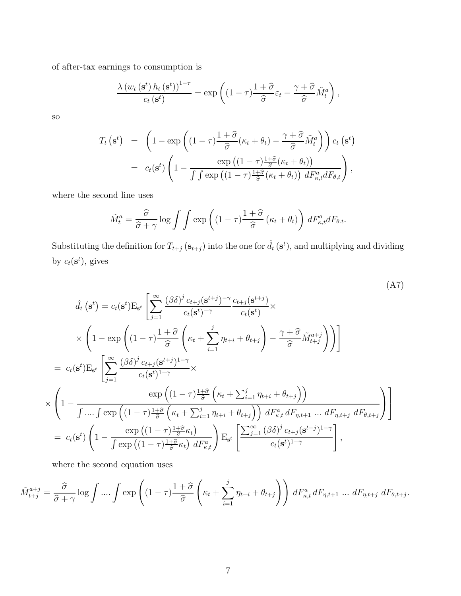of after-tax earnings to consumption is

$$
\frac{\lambda (w_t(\mathbf{s}^t) h_t(\mathbf{s}^t))^{1-\tau}}{c_t(\mathbf{s}^t)} = \exp \left( (1-\tau) \frac{1+\widehat{\sigma}}{\widehat{\sigma}} \varepsilon_t - \frac{\gamma + \widehat{\sigma}}{\widehat{\sigma}} \tilde{M}_t^a \right),\,
$$

so

×

$$
T_t\left(\mathbf{s}^t\right) = \left(1 - \exp\left((1-\tau)\frac{1+\widehat{\sigma}}{\widehat{\sigma}}(\kappa_t + \theta_t) - \frac{\gamma+\widehat{\sigma}}{\widehat{\sigma}}\tilde{M}_t^a\right)\right)c_t\left(\mathbf{s}^t\right)
$$
  
=  $c_t(\mathbf{s}^t)\left(1 - \frac{\exp\left((1-\tau)\frac{1+\widehat{\sigma}}{\widehat{\sigma}}(\kappa_t + \theta_t)\right)}{\int \int \exp\left((1-\tau)\frac{1+\widehat{\sigma}}{\widehat{\sigma}}(\kappa_t + \theta_t)\right) dF_{\kappa,t}^a dF_{\theta,t}}\right),$ 

where the second line uses

$$
\tilde{M}_t^a = \frac{\hat{\sigma}}{\hat{\sigma} + \gamma} \log \int \int \exp \left( (1 - \tau) \frac{1 + \hat{\sigma}}{\hat{\sigma}} \left( \kappa_t + \theta_t \right) \right) dF_{\kappa, t}^a dF_{\theta, t}.
$$

Substituting the definition for  $T_{t+j}$  ( $\mathbf{s}_{t+j}$ ) into the one for  $\hat{d}_t$  ( $\mathbf{s}^t$ ), and multiplying and dividing by  $c_t(\mathbf{s}^t)$ , gives

$$
\hat{d}_{t}(\mathbf{s}^{t}) = c_{t}(\mathbf{s}^{t}) \mathbf{E}_{\mathbf{s}^{t}} \left[ \sum_{j=1}^{\infty} \frac{(\beta \delta)^{j} c_{t+j}(\mathbf{s}^{t+j})^{-\gamma}}{c_{t}(\mathbf{s}^{t})^{-\gamma}} \frac{c_{t+j}(\mathbf{s}^{t+j})}{c_{t}(\mathbf{s}^{t})} \times \right]
$$
\n
$$
\times \left( 1 - \exp \left( (1 - \tau) \frac{1 + \hat{\sigma}}{\hat{\sigma}} \left( \kappa_{t} + \sum_{i=1}^{j} \eta_{t+i} + \theta_{t+j} \right) - \frac{\gamma + \hat{\sigma}}{\hat{\sigma}} \tilde{M}_{t+j}^{a+j} \right) \right) \right]
$$
\n
$$
= c_{t}(\mathbf{s}^{t}) \mathbf{E}_{\mathbf{s}^{t}} \left[ \sum_{j=1}^{\infty} \frac{(\beta \delta)^{j} c_{t+j}(\mathbf{s}^{t+j})^{1-\gamma}}{c_{t}(\mathbf{s}^{t})^{1-\gamma}} \times \left( 1 - \frac{\exp \left( (1 - \tau) \frac{1 + \hat{\sigma}}{\hat{\sigma}} \left( \kappa_{t} + \sum_{i=1}^{j} \eta_{t+i} + \theta_{t+j} \right) \right)}{\int \pi_{t+j}^{a} \left( \kappa_{t} + \sum_{i=1}^{j} \eta_{t+i} + \theta_{t+j} \right)} \right) dF_{\kappa,t}^{a} dF_{\eta,t+1} \dots dF_{\eta,t+j} dF_{\theta,t+j} \right)}
$$
\n
$$
= c_{t}(\mathbf{s}^{t}) \left( 1 - \frac{\exp \left( (1 - \tau) \frac{1 + \hat{\sigma}}{\hat{\sigma}} \kappa_{t} \right)}{\int \exp \left( (1 - \tau) \frac{1 + \hat{\sigma}}{\hat{\sigma}} \kappa_{t} \right)} \mathbf{E}_{\mathbf{s}^{t}} \left[ \frac{\sum_{j=1}^{\infty} (\beta \delta)^{j} c_{t+j}(\mathbf{s}^{t+j})^{1-\gamma}}{c_{t}(\mathbf{s}^{t})^{1-\gamma}} \right],
$$
\n(A7)

where the second equation uses

$$
\tilde{M}_{t+j}^{a+j} = \frac{\hat{\sigma}}{\hat{\sigma} + \gamma} \log \int \dots \int \exp \left( (1 - \tau) \frac{1 + \hat{\sigma}}{\hat{\sigma}} \left( \kappa_t + \sum_{i=1}^j \eta_{t+i} + \theta_{t+j} \right) \right) dF_{\kappa,t}^a dF_{\eta,t+1} \dots dF_{\eta,t+j} dF_{\theta,t+j}.
$$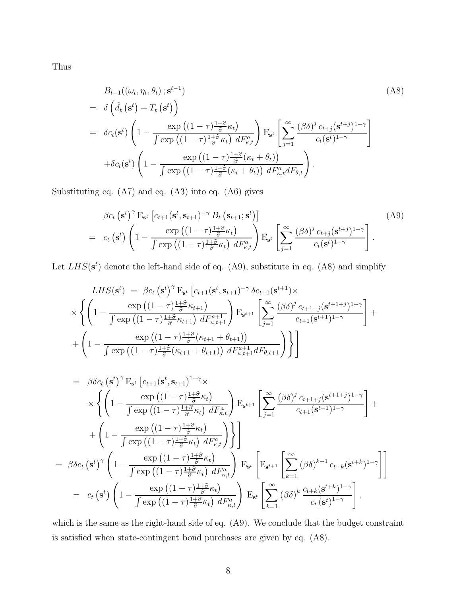Thus

$$
B_{t-1}((\omega_t, \eta_t, \theta_t); \mathbf{s}^{t-1})
$$
\n
$$
= \delta\left(\hat{d}_t\left(\mathbf{s}^t\right) + T_t\left(\mathbf{s}^t\right)\right)
$$
\n
$$
= \delta c_t(\mathbf{s}^t) \left(1 - \frac{\exp\left((1-\tau)\frac{1+\hat{\sigma}}{\hat{\sigma}}\kappa_t\right)}{\int \exp\left((1-\tau)\frac{1+\hat{\sigma}}{\hat{\sigma}}\kappa_t\right) dF_{\kappa,t}^a}\right) \mathbf{E}_{\mathbf{s}^t} \left[\sum_{j=1}^{\infty} \frac{(\beta\delta)^j c_{t+j}(\mathbf{s}^{t+j})^{1-\gamma}}{c_t(\mathbf{s}^t)^{1-\gamma}}\right]
$$
\n
$$
+ \delta c_t(\mathbf{s}^t) \left(1 - \frac{\exp\left((1-\tau)\frac{1+\hat{\sigma}}{\hat{\sigma}}(\kappa_t + \theta_t)\right)}{\int \exp\left((1-\tau)\frac{1+\hat{\sigma}}{\hat{\sigma}}(\kappa_t + \theta_t)\right) dF_{\kappa,t}^a dF_{\theta,t}}\right).
$$
\n(A8)

Substituting eq. (A7) and eq. (A3) into eq. (A6) gives

$$
\beta c_t \left( \mathbf{s}^t \right)^{\gamma} E_{\mathbf{s}^t} \left[ c_{t+1} (\mathbf{s}^t, \mathbf{s}_{t+1})^{-\gamma} B_t \left( \mathbf{s}_{t+1}; \mathbf{s}^t \right) \right]
$$
\n
$$
= c_t \left( \mathbf{s}^t \right) \left( 1 - \frac{\exp \left( (1 - \tau) \frac{1 + \hat{\sigma}}{\hat{\sigma}} \kappa_t \right)}{\int \exp \left( (1 - \tau) \frac{1 + \hat{\sigma}}{\hat{\sigma}} \kappa_t \right) dF_{\kappa, t}^a} \right) E_{\mathbf{s}^t} \left[ \sum_{j=1}^{\infty} \frac{ (\beta \delta)^j c_{t+j} (\mathbf{s}^{t+j})^{1-\gamma}}{c_t (\mathbf{s}^t)^{1-\gamma}} \right].
$$
\n(A9)

Let  $LHS(\mathbf{s}^t)$  denote the left-hand side of eq. (A9), substitute in eq. (A8) and simplify

$$
LHS(\mathbf{s}^{t}) = \beta c_{t} (\mathbf{s}^{t})^{\gamma} \mathbf{E}_{\mathbf{s}^{t}} \left[ c_{t+1} (\mathbf{s}^{t}, \mathbf{s}_{t+1})^{-\gamma} \delta c_{t+1} (\mathbf{s}^{t+1}) \times \right] \times \left\{ \left( 1 - \frac{\exp \left( (1 - \tau) \frac{1 + \widehat{\sigma}}{\widehat{\sigma}} \kappa_{t+1} \right)}{\int \exp \left( (1 - \tau) \frac{1 + \widehat{\sigma}}{\widehat{\sigma}} \kappa_{t+1} \right) dF_{\kappa, t+1}^{a+1}} \right) \mathbf{E}_{\mathbf{s}^{t+1}} \left[ \sum_{j=1}^{\infty} \frac{(\beta \delta)^{j} c_{t+1+j} (\mathbf{s}^{t+1+j})^{1-\gamma}}{c_{t+1} (\mathbf{s}^{t+1})^{1-\gamma}} \right] + \left( 1 - \frac{\exp \left( (1 - \tau) \frac{1 + \widehat{\sigma}}{\widehat{\sigma}} (\kappa_{t+1} + \theta_{t+1}) \right)}{\int \exp \left( (1 - \tau) \frac{1 + \widehat{\sigma}}{\widehat{\sigma}} (\kappa_{t+1} + \theta_{t+1}) \right) dF_{\kappa, t+1}^{a+1} dF_{\theta, t+1}} \right) \} \right\}
$$

$$
= \beta \delta c_t (\mathbf{s}^t)^{\gamma} \mathbf{E}_{\mathbf{s}^t} \left[ c_{t+1} (\mathbf{s}^t, \mathbf{s}_{t+1})^{1-\gamma} \times \right.
$$
  
\n
$$
\times \left\{ \left( 1 - \frac{\exp((1-\tau)\frac{1+\hat{\sigma}}{\hat{\sigma}} \kappa_t)}{\int \exp((1-\tau)\frac{1+\hat{\sigma}}{\hat{\sigma}} \kappa_t)} dF_{\kappa,t}^a} \right) \mathbf{E}_{\mathbf{s}^{t+1}} \left[ \sum_{j=1}^{\infty} \frac{(\beta \delta)^j c_{t+1+j} (\mathbf{s}^{t+1+j})^{1-\gamma}}{c_{t+1} (\mathbf{s}^{t+1})^{1-\gamma}} \right] + \right.
$$
  
\n
$$
+ \left( 1 - \frac{\exp((1-\tau)\frac{1+\hat{\sigma}}{\hat{\sigma}} \kappa_t)}{\int \exp((1-\tau)\frac{1+\hat{\sigma}}{\hat{\sigma}} \kappa_t)} dF_{\kappa,t}^a} \right) \right\}
$$
  
\n
$$
= \beta \delta c_t (\mathbf{s}^t)^{\gamma} \left( 1 - \frac{\exp((1-\tau)\frac{1+\hat{\sigma}}{\hat{\sigma}} \kappa_t)}{\int \exp((1-\tau)\frac{1+\hat{\sigma}}{\hat{\sigma}} \kappa_t)} dF_{\kappa,t}^a} \right) \mathbf{E}_{\mathbf{s}^t} \left[ \mathbf{E}_{\mathbf{s}^{t+1}} \left[ \sum_{k=1}^{\infty} (\beta \delta)^{k-1} c_{t+k} (\mathbf{s}^{t+k})^{1-\gamma} \right] \right]
$$
  
\n
$$
= c_t (\mathbf{s}^t) \left( 1 - \frac{\exp((1-\tau)\frac{1+\hat{\sigma}}{\hat{\sigma}} \kappa_t)}{\int \exp((1-\tau)\frac{1+\hat{\sigma}}{\hat{\sigma}} \kappa_t)} dF_{\kappa,t}^a} \right) \mathbf{E}_{\mathbf{s}^t} \left[ \sum_{k=1}^{\infty} (\beta \delta)^k \frac{c_{t+k} (\mathbf{s}^{t+k})^{1-\gamma}}{c_t (\mathbf{s}^t)^{1-\gamma}} \right],
$$

which is the same as the right-hand side of eq. (A9). We conclude that the budget constraint is satisfied when state-contingent bond purchases are given by eq. (A8).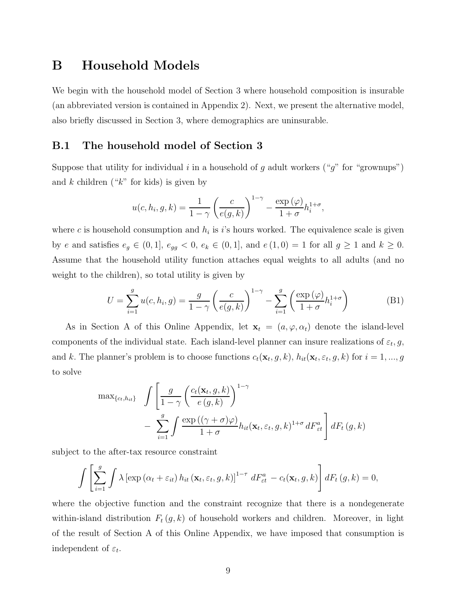### B Household Models

We begin with the household model of Section 3 where household composition is insurable (an abbreviated version is contained in Appendix 2). Next, we present the alternative model, also briefly discussed in Section 3, where demographics are uninsurable.

#### B.1 The household model of Section 3

Suppose that utility for individual i in a household of g adult workers ("g" for "grownups") and  $k$  children (" $k$ " for kids) is given by

$$
u(c, h_i, g, k) = \frac{1}{1 - \gamma} \left( \frac{c}{e(g, k)} \right)^{1 - \gamma} - \frac{\exp(\varphi)}{1 + \sigma} h_i^{1 + \sigma},
$$

where c is household consumption and  $h_i$  is i's hours worked. The equivalence scale is given by e and satisfies  $e_g \in (0, 1]$ ,  $e_{gg} < 0$ ,  $e_k \in (0, 1]$ , and  $e(1, 0) = 1$  for all  $g \ge 1$  and  $k \ge 0$ . Assume that the household utility function attaches equal weights to all adults (and no weight to the children), so total utility is given by

$$
U = \sum_{i=1}^{g} u(c, h_i, g) = \frac{g}{1-\gamma} \left(\frac{c}{e(g, k)}\right)^{1-\gamma} - \sum_{i=1}^{g} \left(\frac{\exp\left(\varphi\right)}{1+\sigma} h_i^{1+\sigma}\right)
$$
(B1)

As in Section A of this Online Appendix, let  $\mathbf{x}_t = (a, \varphi, \alpha_t)$  denote the island-level components of the individual state. Each island-level planner can insure realizations of  $\varepsilon_t, g$ , and k. The planner's problem is to choose functions  $c_t(\mathbf{x}_t, g, k)$ ,  $h_{it}(\mathbf{x}_t, \varepsilon_t, g, k)$  for  $i = 1, ..., g$ to solve

$$
\max_{\{c_t, h_{it}\}} \int \left[ \frac{g}{1 - \gamma} \left( \frac{c_t(\mathbf{x}_t, g, k)}{e(g, k)} \right)^{1 - \gamma} - \sum_{i=1}^g \int \frac{\exp((\gamma + \sigma)\varphi)}{1 + \sigma} h_{it}(\mathbf{x}_t, \varepsilon_t, g, k)^{1 + \sigma} dF_{\varepsilon t}^a \right] dF_t(g, k)
$$

subject to the after-tax resource constraint

$$
\int \left[ \sum_{i=1}^{g} \int \lambda \left[ \exp \left( \alpha_t + \varepsilon_{it} \right) h_{it} \left( \mathbf{x}_t, \varepsilon_t, g, k \right) \right]^{1-\tau} dF_{\varepsilon t}^a - c_t(\mathbf{x}_t, g, k) \right] dF_t(g, k) = 0,
$$

where the objective function and the constraint recognize that there is a nondegenerate within-island distribution  $F_t(g, k)$  of household workers and children. Moreover, in light of the result of Section A of this Online Appendix, we have imposed that consumption is independent of  $\varepsilon_t$ .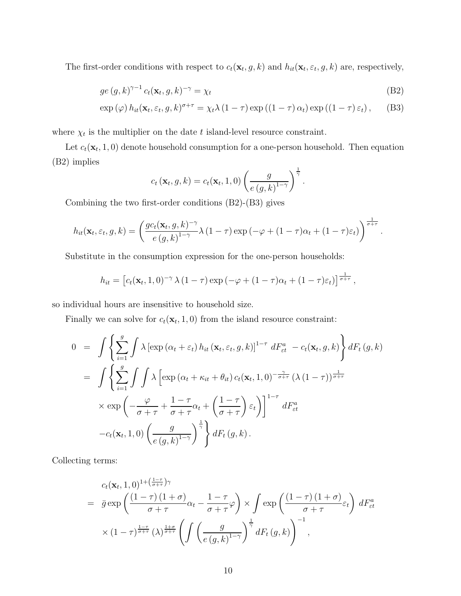The first-order conditions with respect to  $c_t(\mathbf{x}_t, g, k)$  and  $h_{it}(\mathbf{x}_t, \varepsilon_t, g, k)$  are, respectively,

$$
ge(g,k)^{\gamma-1} c_t(\mathbf{x}_t,g,k)^{-\gamma} = \chi_t
$$
\n(B2)

$$
\exp\left(\varphi\right)h_{it}(\mathbf{x}_t, \varepsilon_t, g, k)^{\sigma+\tau} = \chi_t \lambda \left(1-\tau\right) \exp\left(\left(1-\tau\right) \alpha_t\right) \exp\left(\left(1-\tau\right) \varepsilon_t\right), \quad \text{(B3)}
$$

where  $\chi_t$  is the multiplier on the date t island-level resource constraint.

Let  $c_t(\mathbf{x}_t, 1, 0)$  denote household consumption for a one-person household. Then equation (B2) implies

$$
c_t(\mathbf{x}_t,g,k) = c_t(\mathbf{x}_t,1,0) \left(\frac{g}{e(g,k)^{1-\gamma}}\right)^{\frac{1}{\gamma}}.
$$

Combining the two first-order conditions (B2)-(B3) gives

$$
h_{it}(\mathbf{x}_t, \varepsilon_t, g, k) = \left(\frac{gc_t(\mathbf{x}_t, g, k)^{-\gamma}}{e(g, k)^{1-\gamma}} \lambda (1-\tau) \exp\left(-\varphi + (1-\tau)\alpha_t + (1-\tau)\varepsilon_t\right)\right)^{\frac{1}{\sigma+\tau}}.
$$

Substitute in the consumption expression for the one-person households:

$$
h_{it} = \left[c_t(\mathbf{x}_t, 1, 0)^{-\gamma} \lambda (1-\tau) \exp\left(-\varphi + (1-\tau)\alpha_t + (1-\tau)\varepsilon_t\right)\right]^{\frac{1}{\sigma+\tau}},
$$

so individual hours are insensitive to household size.

Finally we can solve for  $c_t(\mathbf{x}_t, 1, 0)$  from the island resource constraint:

$$
0 = \int \left\{ \sum_{i=1}^{g} \int \lambda \left[ \exp \left( \alpha_t + \varepsilon_t \right) h_{it} \left( \mathbf{x}_t, \varepsilon_t, g, k \right) \right]^{1-\tau} dF_{\varepsilon t}^a - c_t(\mathbf{x}_t, g, k) \right\} dF_t(g, k)
$$
  
\n
$$
= \int \left\{ \sum_{i=1}^{g} \int \int \lambda \left[ \exp \left( \alpha_t + \kappa_{it} + \theta_{it} \right) c_t(\mathbf{x}_t, 1, 0)^{-\frac{\gamma}{\sigma + \tau}} (\lambda (1 - \tau))^{\frac{1}{\sigma + \tau}} \right] \times \exp \left( -\frac{\varphi}{\sigma + \tau} + \frac{1 - \tau}{\sigma + \tau} \alpha_t + \left( \frac{1 - \tau}{\sigma + \tau} \right) \varepsilon_t \right) \right\}^{1-\tau} dF_{\varepsilon t}^a
$$
  
\n
$$
-c_t(\mathbf{x}_t, 1, 0) \left( \frac{g}{e(g, k)^{1-\gamma}} \right)^{\frac{1}{\gamma}} \right\} dF_t(g, k).
$$

Collecting terms:

$$
c_t(\mathbf{x}_t, 1, 0)^{1 + (\frac{1-\tau}{\sigma + \tau})\gamma}
$$
\n
$$
= \bar{g} \exp\left(\frac{(1-\tau)(1+\sigma)}{\sigma + \tau}\alpha_t - \frac{1-\tau}{\sigma + \tau}\varphi\right) \times \int \exp\left(\frac{(1-\tau)(1+\sigma)}{\sigma + \tau}\varepsilon_t\right) dF_{\text{et}}^a
$$
\n
$$
\times (1-\tau)^{\frac{1-\tau}{\sigma + \tau}}(\lambda)^{\frac{1+\sigma}{\sigma + \tau}} \left(\int \left(\frac{g}{e(g, k)^{1-\gamma}}\right)^{\frac{1}{\gamma}} dF_t(g, k)\right)^{-1},
$$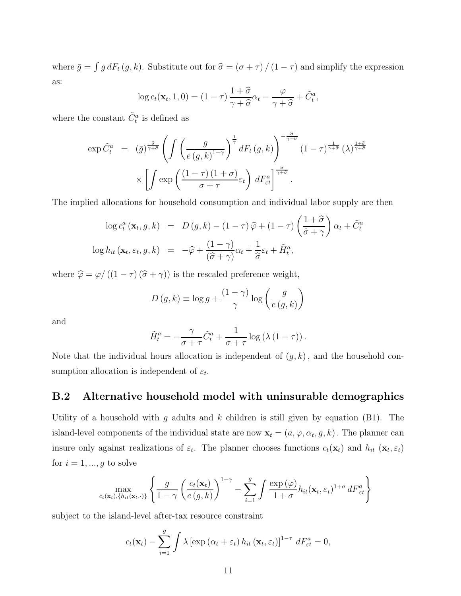where  $\bar{g} = \int g dF_t (g, k)$ . Substitute out for  $\hat{\sigma} = (\sigma + \tau) / (1 - \tau)$  and simplify the expression as:

$$
\log c_t(\mathbf{x}_t, 1, 0) = (1 - \tau) \frac{1 + \widehat{\sigma}}{\gamma + \widehat{\sigma}} \alpha_t - \frac{\varphi}{\gamma + \widehat{\sigma}} + \widetilde{C}_t^a,
$$

where the constant  $\tilde{C}_t^a$  is defined as

$$
\exp \tilde{C}_{t}^{a} = (\bar{g})^{\frac{\hat{\sigma}}{\gamma+\hat{\sigma}}} \left( \int \left( \frac{g}{e(g,k)^{1-\gamma}} \right)^{\frac{1}{\gamma}} dF_{t}(g,k) \right)^{-\frac{\hat{\sigma}}{\gamma+\hat{\sigma}}} (1-\tau)^{\frac{1}{\gamma+\hat{\sigma}}} (\lambda)^{\frac{1+\hat{\sigma}}{\gamma+\hat{\sigma}}} \times \left[ \int \exp \left( \frac{(1-\tau)(1+\sigma)}{\sigma+\tau} \varepsilon_{t} \right) dF_{\varepsilon t}^{a} \right]^{\frac{\hat{\sigma}}{\gamma+\hat{\sigma}}}.
$$

The implied allocations for household consumption and individual labor supply are then

$$
\log c_t^a(\mathbf{x}_t, g, k) = D(g, k) - (1 - \tau)\hat{\varphi} + (1 - \tau)\left(\frac{1 + \hat{\sigma}}{\hat{\sigma} + \gamma}\right)\alpha_t + \tilde{C}_t^a
$$

$$
\log h_{it}(\mathbf{x}_t, \varepsilon_t, g, k) = -\hat{\varphi} + \frac{(1 - \gamma)}{(\hat{\sigma} + \gamma)}\alpha_t + \frac{1}{\hat{\sigma}}\varepsilon_t + \tilde{H}_t^a,
$$

where  $\widehat{\varphi} = \varphi/\left(\left(1-\tau\right)\left(\widehat{\sigma} + \gamma\right)\right)$  is the rescaled preference weight,

$$
D(g,k) \equiv \log g + \frac{(1-\gamma)}{\gamma} \log \left(\frac{g}{e(g,k)}\right)
$$

and

$$
\tilde{H}_t^a = -\frac{\gamma}{\sigma + \tau} \tilde{C}_t^a + \frac{1}{\sigma + \tau} \log \left( \lambda \left( 1 - \tau \right) \right).
$$

Note that the individual hours allocation is independent of  $(g, k)$ , and the household consumption allocation is independent of  $\varepsilon_t$ .

#### B.2 Alternative household model with uninsurable demographics

Utility of a household with g adults and  $k$  children is still given by equation (B1). The island-level components of the individual state are now  $\mathbf{x}_t = (a, \varphi, \alpha_t, g, k)$ . The planner can insure only against realizations of  $\varepsilon_t$ . The planner chooses functions  $c_t(\mathbf{x}_t)$  and  $h_{it}(\mathbf{x}_t, \varepsilon_t)$ for  $i = 1, ..., g$  to solve

$$
\max_{c_t(\mathbf{x}_t), \{h_{it}(\mathbf{x}_t, \cdot)\}} \left\{ \frac{g}{1-\gamma} \left( \frac{c_t(\mathbf{x}_t)}{e(g,k)} \right)^{1-\gamma} - \sum_{i=1}^g \int \frac{\exp{(\varphi)}}{1+\sigma} h_{it}(\mathbf{x}_t, \varepsilon_t)^{1+\sigma} dF_{\varepsilon t}^a \right\}
$$

subject to the island-level after-tax resource constraint

$$
c_t(\mathbf{x}_t) - \sum_{i=1}^g \int \lambda \left[ \exp\left(\alpha_t + \varepsilon_t\right) h_{it}\left(\mathbf{x}_t, \varepsilon_t\right) \right]^{1-\tau} dF_{\varepsilon t}^a = 0,
$$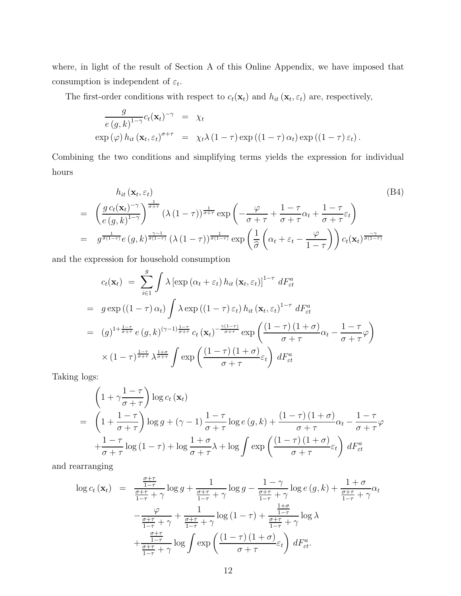where, in light of the result of Section A of this Online Appendix, we have imposed that consumption is independent of  $\varepsilon_t$ .

The first-order conditions with respect to  $c_t(\mathbf{x}_t)$  and  $h_{it}(\mathbf{x}_t, \varepsilon_t)$  are, respectively,

$$
\frac{g}{e(g,k)^{1-\gamma}}c_t(\mathbf{x}_t)^{-\gamma} = \chi_t
$$
  
\n
$$
\exp(\varphi) h_{it} (\mathbf{x}_t, \varepsilon_t)^{\sigma+\tau} = \chi_t \lambda (1-\tau) \exp((1-\tau) \alpha_t) \exp((1-\tau) \varepsilon_t).
$$

Combining the two conditions and simplifying terms yields the expression for individual hours

$$
h_{it}(\mathbf{x}_t, \varepsilon_t)
$$
\n
$$
= \left(\frac{g c_t(\mathbf{x}_t)^{-\gamma}}{e(g, k)^{1-\gamma}}\right)^{\frac{1}{\sigma+\tau}} \left(\lambda (1-\tau)\right)^{\frac{1}{\sigma+\tau}} \exp\left(-\frac{\varphi}{\sigma+\tau}+\frac{1-\tau}{\sigma+\tau}\alpha_t+\frac{1-\tau}{\sigma+\tau}\varepsilon_t\right)
$$
\n
$$
= g^{\frac{1}{\hat{\sigma}(1-\tau)}} e(g, k)^{\frac{\gamma-1}{\hat{\sigma}(1-\tau)}} \left(\lambda (1-\tau)\right)^{\frac{1}{\hat{\sigma}(1-\tau)}} \exp\left(\frac{1}{\hat{\sigma}}\left(\alpha_t + \varepsilon_t - \frac{\varphi}{1-\tau}\right)\right) c_t(\mathbf{x}_t)^{\frac{-\gamma}{\hat{\sigma}(1-\tau)}}
$$
\n(B4)

and the expression for household consumption

$$
c_t(\mathbf{x}_t) = \sum_{i\in I}^g \int \lambda \left[ \exp\left(\alpha_t + \varepsilon_t\right) h_{it}\left(\mathbf{x}_t, \varepsilon_t\right) \right]^{1-\tau} dF_{\varepsilon t}^a
$$
  
\n
$$
= g \exp\left(\left(1-\tau\right)\alpha_t\right) \int \lambda \exp\left(\left(1-\tau\right)\varepsilon_t\right) h_{it}\left(\mathbf{x}_t, \varepsilon_t\right)^{1-\tau} dF_{\varepsilon t}^a
$$
  
\n
$$
= (g)^{1+\frac{1-\tau}{\sigma+\tau}} e(g, k)^{(\gamma-1)\frac{1-\tau}{\sigma+\tau}} c_t\left(\mathbf{x}_t\right)^{-\frac{\gamma(1-\tau)}{\sigma+\tau}} \exp\left(\frac{\left(1-\tau\right)\left(1+\sigma\right)}{\sigma+\tau}\alpha_t - \frac{1-\tau}{\sigma+\tau}\varphi\right)
$$
  
\n
$$
\times \left(1-\tau\right)^{\frac{1-\tau}{\sigma+\tau}} \lambda^{\frac{1+\sigma}{\sigma+\tau}} \int \exp\left(\frac{\left(1-\tau\right)\left(1+\sigma\right)}{\sigma+\tau}\varepsilon_t\right) dF_{\varepsilon t}^a
$$

Taking logs:

$$
\left(1+\gamma\frac{1-\tau}{\sigma+\tau}\right)\log c_t(\mathbf{x}_t)
$$
\n
$$
= \left(1+\frac{1-\tau}{\sigma+\tau}\right)\log g + (\gamma-1)\frac{1-\tau}{\sigma+\tau}\log e(g,k) + \frac{(1-\tau)(1+\sigma)}{\sigma+\tau}\alpha_t - \frac{1-\tau}{\sigma+\tau}\varphi
$$
\n
$$
+\frac{1-\tau}{\sigma+\tau}\log(1-\tau) + \log\frac{1+\sigma}{\sigma+\tau}\lambda + \log\int \exp\left(\frac{(1-\tau)(1+\sigma)}{\sigma+\tau}\varepsilon_t\right)dF_{\varepsilon t}^a
$$

and rearranging

$$
\log c_t(\mathbf{x}_t) = \frac{\frac{\sigma + \tau}{1 - \tau}}{\frac{\sigma + \tau}{1 - \tau} + \gamma} \log g + \frac{1}{\frac{\sigma + \tau}{1 - \tau} + \gamma} \log g - \frac{1 - \gamma}{\frac{\sigma + \tau}{1 - \tau} + \gamma} \log e(g, k) + \frac{1 + \sigma}{\frac{\sigma + \tau}{1 - \tau} + \gamma} \alpha_t
$$

$$
-\frac{\varphi}{\frac{\sigma + \tau}{1 - \tau} + \gamma} + \frac{1}{\frac{\sigma + \tau}{1 - \tau} + \gamma} \log (1 - \tau) + \frac{\frac{1 + \sigma}{1 - \tau}}{\frac{\sigma + \tau}{1 - \tau} + \gamma} \log \lambda
$$

$$
+\frac{\frac{\sigma + \tau}{1 - \tau}}{\frac{\sigma + \tau}{1 - \tau} + \gamma} \log \int \exp \left(\frac{(1 - \tau)(1 + \sigma)}{\sigma + \tau} \varepsilon_t\right) dF_{\varepsilon t}^a.
$$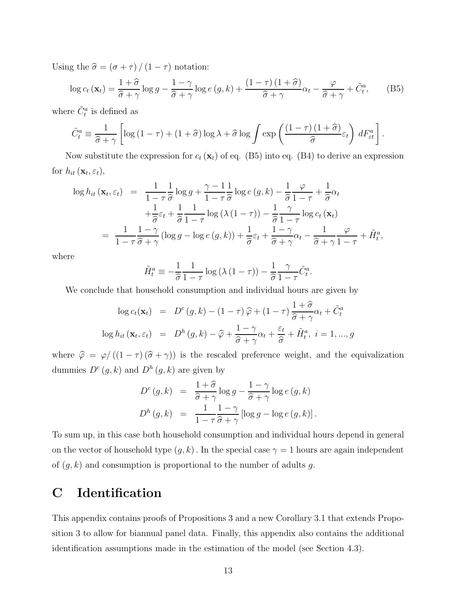Using the  $\hat{\sigma} = (\sigma + \tau) / (1 - \tau)$  notation:

$$
\log c_t(\mathbf{x}_t) = \frac{1+\hat{\sigma}}{\hat{\sigma}+\gamma} \log g - \frac{1-\gamma}{\hat{\sigma}+\gamma} \log e\left(g,k\right) + \frac{\left(1-\tau\right)\left(1+\hat{\sigma}\right)}{\hat{\sigma}+\gamma} \alpha_t - \frac{\varphi}{\hat{\sigma}+\gamma} + \tilde{C}_t^a,\tag{B5}
$$

where  $\tilde{C}_t^a$  is defined as

$$
\tilde{C}_t^a \equiv \frac{1}{\hat{\sigma} + \gamma} \left[ \log \left( 1 - \tau \right) + \left( 1 + \hat{\sigma} \right) \log \lambda + \hat{\sigma} \log \int \exp \left( \frac{\left( 1 - \tau \right) \left( 1 + \hat{\sigma} \right)}{\hat{\sigma}} \varepsilon_t \right) dF_{\varepsilon t}^a \right].
$$

Now substitute the expression for  $c_t(\mathbf{x}_t)$  of eq. (B5) into eq. (B4) to derive an expression for  $h_{it}(\mathbf{x}_t, \varepsilon_t)$ ,

$$
\log h_{it}(\mathbf{x}_t, \varepsilon_t) = \frac{1}{1 - \tau} \frac{1}{\hat{\sigma}} \log g + \frac{\gamma - 1}{1 - \tau} \frac{1}{\hat{\sigma}} \log e(g, k) - \frac{1}{\hat{\sigma}} \frac{\varphi}{1 - \tau} + \frac{1}{\hat{\sigma}} \alpha_t
$$
  
+ 
$$
\frac{1}{\hat{\sigma}} \varepsilon_t + \frac{1}{\hat{\sigma}} \frac{1}{1 - \tau} \log (\lambda (1 - \tau)) - \frac{1}{\hat{\sigma}} \frac{\gamma}{1 - \tau} \log c_t (\mathbf{x}_t)
$$
  
= 
$$
\frac{1}{1 - \tau} \frac{1 - \gamma}{\hat{\sigma} + \gamma} (\log g - \log e(g, k)) + \frac{1}{\hat{\sigma}} \varepsilon_t + \frac{1 - \gamma}{\hat{\sigma} + \gamma} \alpha_t - \frac{1}{\hat{\sigma} + \gamma} \frac{\varphi}{1 - \tau} + \tilde{H}_t^a,
$$

where

$$
\tilde{H}_t^a \equiv -\frac{1}{\hat{\sigma}} \frac{1}{1-\tau} \log \left( \lambda \left( 1-\tau \right) \right) - \frac{1}{\hat{\sigma}} \frac{\gamma}{1-\tau} \tilde{C}_t^a.
$$

We conclude that household consumption and individual hours are given by

$$
\log c_t(\mathbf{x}_t) = D^c(g, k) - (1 - \tau)\hat{\varphi} + (1 - \tau)\frac{1 + \hat{\sigma}}{\hat{\sigma} + \gamma}\alpha_t + \tilde{C}_t^a
$$
  

$$
\log h_{it}(\mathbf{x}_t, \varepsilon_t) = D^h(g, k) - \hat{\varphi} + \frac{1 - \gamma}{\hat{\sigma} + \gamma}\alpha_t + \frac{\varepsilon_t}{\hat{\sigma}} + \tilde{H}_t^a, \ i = 1, ..., g
$$

where  $\hat{\varphi} = \varphi/( (1 - \tau) (\hat{\sigma} + \gamma))$  is the rescaled preference weight, and the equivalization dummies  $D^{c}(g, k)$  and  $D^{h}(g, k)$  are given by

$$
D^{c}(g,k) = \frac{1+\widehat{\sigma}}{\widehat{\sigma}+\gamma} \log g - \frac{1-\gamma}{\widehat{\sigma}+\gamma} \log e(g,k)
$$
  

$$
D^{h}(g,k) = \frac{1}{1-\tau} \frac{1-\gamma}{\widehat{\sigma}+\gamma} [\log g - \log e(g,k)].
$$

To sum up, in this case both household consumption and individual hours depend in general on the vector of household type  $(g, k)$ . In the special case  $\gamma = 1$  hours are again independent of  $(g, k)$  and consumption is proportional to the number of adults g.

### C Identification

This appendix contains proofs of Propositions 3 and a new Corollary 3.1 that extends Proposition 3 to allow for biannual panel data. Finally, this appendix also contains the additional identification assumptions made in the estimation of the model (see Section 4.3).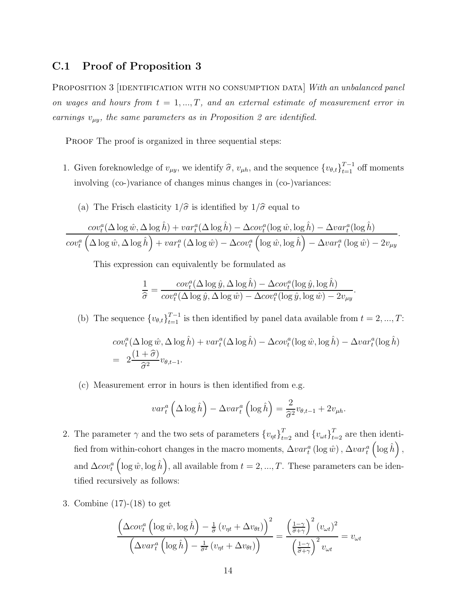#### C.1 Proof of Proposition 3

Proposition 3 [identification with no consumption data] *With an unbalanced panel on wages and hours from*  $t = 1, ..., T$ , and an external estimate of measurement error in *earnings*  $v_{\mu y}$ *, the same parameters as in Proposition 2 are identified.* 

PROOF The proof is organized in three sequential steps:

- 1. Given foreknowledge of  $v_{\mu y}$ , we identify  $\hat{\sigma}$ ,  $v_{\mu h}$ , and the sequence  ${v_{\theta,t}}_{t=1}^{T-1}$  off moments involving (co-)variance of changes minus changes in (co-)variances:
	- (a) The Frisch elasticity  $1/\hat{\sigma}$  is identified by  $1/\hat{\sigma}$  equal to

$$
\frac{cov_t^a(\Delta\log\hat{w},\Delta\log\hat{h})+var_t^a(\Delta\log\hat{h})-\Delta cov_t^a(\log\hat{w},\log\hat{h})-\Delta var_t^a(\log\hat{h})}{cov_t^a(\Delta\log\hat{w},\Delta\log\hat{h})+var_t^a(\Delta\log\hat{w})-\Delta cov_t^a(\log\hat{w},\log\hat{h})-\Delta var_t^a(\log\hat{w})-2v_{\mu y}}.
$$

This expression can equivalently be formulated as

$$
\frac{1}{\hat{\sigma}} = \frac{cov_t^a(\Delta \log \hat{y}, \Delta \log \hat{h}) - \Delta cov_t^a(\log \hat{y}, \log \hat{h})}{cov_t^a(\Delta \log \hat{y}, \Delta \log \hat{w}) - \Delta cov_t^a(\log \hat{y}, \log \hat{w}) - 2v_{\mu y}}.
$$

(b) The sequence  $\{v_{\theta,t}\}_{t=1}^{T-1}$  is then identified by panel data available from  $t = 2, ..., T$ :

$$
cov_t^a(\Delta \log \hat{w}, \Delta \log \hat{h}) + var_t^a(\Delta \log \hat{h}) - \Delta cov_t^a(\log \hat{w}, \log \hat{h}) - \Delta var_t^a(\log \hat{h})
$$
  
= 
$$
2\frac{(1+\hat{\sigma})}{\hat{\sigma}^2}v_{\theta, t-1}.
$$

(c) Measurement error in hours is then identified from e.g.

$$
var_t^a \left( \Delta \log \hat{h} \right) - \Delta var_t^a \left( \log \hat{h} \right) = \frac{2}{\hat{\sigma}^2} v_{\theta, t-1} + 2v_{\mu h}.
$$

- 2. The parameter  $\gamma$  and the two sets of parameters  $\{v_{\eta t}\}_{t=2}^T$  and  $\{v_{\omega t}\}_{t=2}^T$  are then identified from within-cohort changes in the macro moments,  $\Delta var_t^a(\log \hat{w})$ ,  $\Delta var_t^a$  $\left(\log \hat{h}\right)$ , and  $\Delta cov_t^a$  $\left(\log \hat{w}, \log \hat{h}\right)$ , all available from  $t = 2, ..., T$ . These parameters can be identified recursively as follows:
- 3. Combine (17)-(18) to get

$$
\frac{\left(\Delta cov_t^a\left(\log \hat{w}, \log \hat{h}\right) - \frac{1}{\hat{\sigma}}\left(v_{\eta t} + \Delta v_{\theta t}\right)\right)^2}{\left(\Delta var_t^a\left(\log \hat{h}\right) - \frac{1}{\hat{\sigma}^2}\left(v_{\eta t} + \Delta v_{\theta t}\right)\right)} = \frac{\left(\frac{1-\gamma}{\hat{\sigma}+\gamma}\right)^2 \left(v_{\omega t}\right)^2}{\left(\frac{1-\gamma}{\hat{\sigma}+\gamma}\right)^2 v_{\omega t}} = v_{\omega t}
$$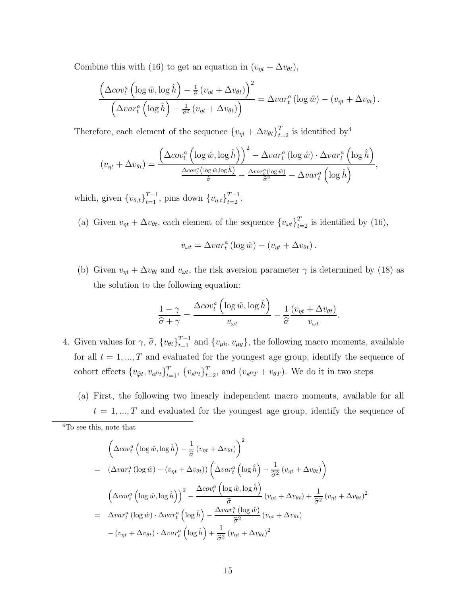Combine this with (16) to get an equation in  $(v_{\eta t} + \Delta v_{\theta t})$ ,

$$
\frac{\left(\Delta cov_t^a\left(\log \hat{w}, \log \hat{h}\right) - \frac{1}{\hat{\sigma}}\left(v_{\eta t} + \Delta v_{\theta t}\right)\right)^2}{\left(\Delta var_t^a\left(\log \hat{h}\right) - \frac{1}{\hat{\sigma}^2}\left(v_{\eta t} + \Delta v_{\theta t}\right)\right)} = \Delta var_t^a\left(\log \hat{w}\right) - \left(v_{\eta t} + \Delta v_{\theta t}\right).
$$

Therefore, each element of the sequence  $\{v_{\eta t} + \Delta v_{\theta t}\}_{t=2}^T$  is identified by<sup>4</sup>

$$
(v_{\eta t} + \Delta v_{\theta t}) = \frac{\left(\Delta cov_t^a \left(\log \hat{w}, \log \hat{h}\right)\right)^2 - \Delta var_t^a \left(\log \hat{w}\right) \cdot \Delta var_t^a \left(\log \hat{h}\right)}{\Delta cov_t^a \left(\log \hat{w}, \log \hat{h}\right)} - \frac{\Delta var_t^a(\log \hat{w})}{\hat{\sigma}^2} - \Delta var_t^a \left(\log \hat{h}\right)},
$$

which, given  $\{v_{\theta,t}\}_{t=1}^{T-1}$ , pins down  $\{v_{\eta,t}\}_{t=2}^{T-1}$ .

(a) Given  $v_{\eta t} + \Delta v_{\theta t}$ , each element of the sequence  $\{v_{\omega t}\}_{t=2}^T$  is identified by (16),

$$
v_{\omega t} = \Delta v a r_t^a \left( \log \hat{w} \right) - \left( v_{\eta t} + \Delta v_{\theta t} \right).
$$

(b) Given  $v_{\eta t} + \Delta v_{\theta t}$  and  $v_{\omega t}$ , the risk aversion parameter  $\gamma$  is determined by (18) as the solution to the following equation:

$$
\frac{1-\gamma}{\widehat{\sigma}+\gamma} = \frac{\Delta cov_t^a\left(\log \widehat{w}, \log \widehat{h}\right)}{v_{\omega t}} - \frac{1}{\widehat{\sigma}} \frac{(v_{\eta t} + \Delta v_{\theta t})}{v_{\omega t}}.
$$

- 4. Given values for  $\gamma$ ,  $\hat{\sigma}$ ,  $\{v_{\theta t}\}_{t=1}^{T-1}$  and  $\{v_{\mu h}, v_{\mu y}\}$ , the following macro moments, available for all  $t = 1, ..., T$  and evaluated for the youngest age group, identify the sequence of cohort effects  $\{v_{\hat{\varphi}t}, v_{\alpha^0t}\}_{t=1}^T$ ,  $\{v_{\kappa^0t}\}_{t=2}^T$ , and  $(v_{\kappa^0T} + v_{\thetaT})$ . We do it in two steps
	- (a) First, the following two linearly independent macro moments, available for all  $t = 1, ..., T$  and evaluated for the youngest age group, identify the sequence of

$$
\left(\Delta cov_t^a \left(\log \hat{w}, \log \hat{h}\right) - \frac{1}{\hat{\sigma}} \left(v_{\eta t} + \Delta v_{\theta t}\right)\right)^2
$$
\n
$$
= \left(\Delta var_t^a \left(\log \hat{w}\right) - \left(v_{\eta t} + \Delta v_{\theta t}\right)\right) \left(\Delta var_t^a \left(\log \hat{h}\right) - \frac{1}{\hat{\sigma}^2} \left(v_{\eta t} + \Delta v_{\theta t}\right)\right)
$$
\n
$$
\left(\Delta cov_t^a \left(\log \hat{w}, \log \hat{h}\right)\right)^2 - \frac{\Delta cov_t^a \left(\log \hat{w}, \log \hat{h}\right)}{\hat{\sigma}} \left(v_{\eta t} + \Delta v_{\theta t}\right) + \frac{1}{\hat{\sigma}^2} \left(v_{\eta t} + \Delta v_{\theta t}\right)^2
$$
\n
$$
= \Delta var_t^a \left(\log \hat{w}\right) \cdot \Delta var_t^a \left(\log \hat{h}\right) - \frac{\Delta var_t^a \left(\log \hat{w}\right)}{\hat{\sigma}^2} \left(v_{\eta t} + \Delta v_{\theta t}\right)
$$
\n
$$
- \left(v_{\eta t} + \Delta v_{\theta t}\right) \cdot \Delta var_t^a \left(\log \hat{h}\right) + \frac{1}{\hat{\sigma}^2} \left(v_{\eta t} + \Delta v_{\theta t}\right)^2
$$

<sup>4</sup>To see this, note that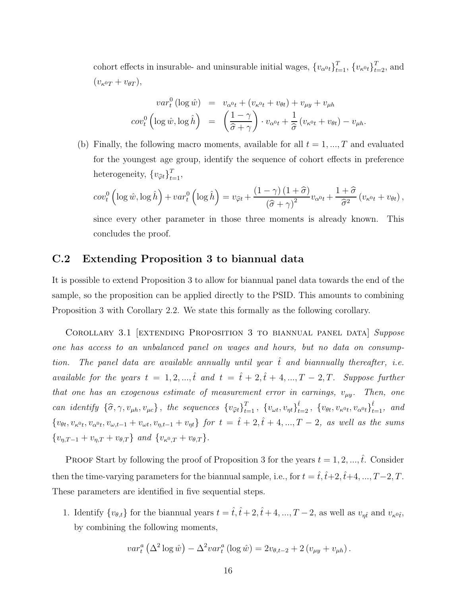cohort effects in insurable- and uninsurable initial wages,  ${v_{\alpha^0t}}_{t=1}^T$ ,  ${v_{\kappa^0t}}_{t=2}^T$ , and  $(v_{\kappa^0 T} + v_{\theta T}),$ 

$$
var_t^0 (\log \hat{w}) = v_{\alpha^0 t} + (v_{\kappa^0 t} + v_{\theta t}) + v_{\mu y} + v_{\mu h}
$$

$$
cov_t^0 (\log \hat{w}, \log \hat{h}) = \left(\frac{1-\gamma}{\hat{\sigma}+\gamma}\right) \cdot v_{\alpha^0 t} + \frac{1}{\hat{\sigma}} \left(v_{\kappa^0 t} + v_{\theta t}\right) - v_{\mu h}.
$$

(b) Finally, the following macro moments, available for all  $t = 1, ..., T$  and evaluated for the youngest age group, identify the sequence of cohort effects in preference heterogeneity,  $\{v_{\hat{\varphi}t}\}_{t=1}^T$ ,

$$
cov_t^0 \left( \log \hat{w}, \log \hat{h} \right) + var_t^0 \left( \log \hat{h} \right) = v_{\hat{\varphi}t} + \frac{\left( 1 - \gamma \right) \left( 1 + \hat{\sigma} \right)}{\left( \hat{\sigma} + \gamma \right)^2} v_{\alpha^0 t} + \frac{1 + \hat{\sigma}}{\hat{\sigma}^2} \left( v_{\kappa^0 t} + v_{\theta t} \right),
$$

since every other parameter in those three moments is already known. This concludes the proof.

#### C.2 Extending Proposition 3 to biannual data

It is possible to extend Proposition 3 to allow for biannual panel data towards the end of the sample, so the proposition can be applied directly to the PSID. This amounts to combining Proposition 3 with Corollary 2.2. We state this formally as the following corollary.

Corollary 3.1 [extending Proposition 3 to biannual panel data] *Suppose one has access to an unbalanced panel on wages and hours, but no data on consumption.* The panel data are available annually until year  $\hat{t}$  and biannually thereafter, i.e. *available for the years*  $t = 1, 2, ..., \hat{t}$  *and*  $t = \hat{t} + 2, \hat{t} + 4, ..., T - 2, T$ . *Suppose further that one has an exogenous estimate of measurement error in earnings,*  $v_{\mu y}$ . Then, one *can identify*  $\{\hat{\sigma}, \gamma, v_{\mu h}, v_{\mu c}\}\$ , the sequences  $\{v_{\hat{\varphi}t}\}_{t=1}^T$ ,  $\{v_{\omega t}, v_{\eta t}\}_{t=2}^{\hat{t}}$ ,  $\{v_{\theta t}, v_{\kappa^0 t}, v_{\alpha^0 t}\}_{t=1}^{\hat{t}}$ , and  ${v_{\theta t}, v_{\kappa^{0}t}, v_{\alpha^{0}t}, v_{\omega,t-1} + v_{\omega t}, v_{\eta,t-1} + v_{\eta t}} \text{ for } t = \hat{t} + 2, \hat{t} + 4, ..., T - 2, \text{ as well as the sums}$  $\{v_{\eta,T-1} + v_{\eta,T} + v_{\theta,T}\}\text{ and }\{v_{\kappa^0,T} + v_{\theta,T}\}.$ 

PROOF Start by following the proof of Proposition 3 for the years  $t = 1, 2, ..., \hat{t}$ . Consider then the time-varying parameters for the biannual sample, i.e., for  $t = \hat{t}, \hat{t}+2, \hat{t}+4, ..., T-2, T$ . These parameters are identified in five sequential steps.

1. Identify  $\{v_{\theta,t}\}$  for the biannual years  $t = \hat{t}, \hat{t} + 2, \hat{t} + 4, ..., T - 2$ , as well as  $v_{\eta\hat{t}}$  and  $v_{\kappa^0\hat{t}}$ , by combining the following moments,

$$
var_t^a \left(\Delta^2 \log \hat{w}\right) - \Delta^2 var_t^a \left(\log \hat{w}\right) = 2v_{\theta, t-2} + 2\left(v_{\mu y} + v_{\mu h}\right).
$$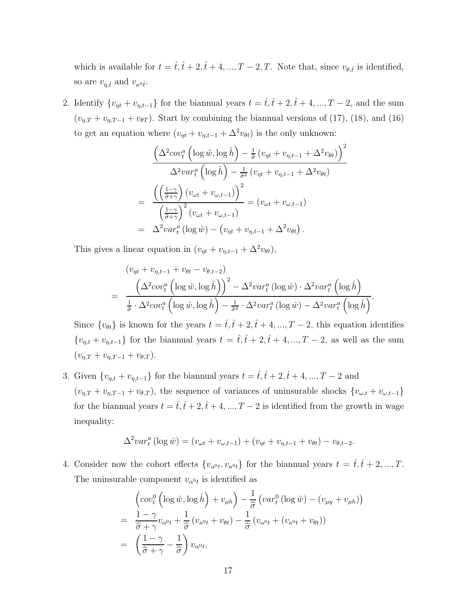which is available for  $t = \hat{t}, \hat{t} + 2, \hat{t} + 4, ..., T - 2, T$ . Note that, since  $v_{\theta, \hat{t}}$  is identified, so are  $v_{\eta,\hat{t}}$  and  $v_{\kappa^0\hat{t}}$ .

2. Identify  $\{v_{\eta t} + v_{\eta,t-1}\}\$ for the biannual years  $t = \hat{t}, \hat{t} + 2, \hat{t} + 4, ..., T - 2$ , and the sum  $(v_{\eta,T} + v_{\eta,T-1} + v_{\theta T})$ . Start by combining the biannual versions of (17), (18), and (16) to get an equation where  $(v_{\eta t} + v_{\eta,t-1} + \Delta^2 v_{\theta t})$  is the only unknown:

$$
\frac{\left(\Delta^2 cov_t^a \left(\log \hat{w}, \log \hat{h}\right) - \frac{1}{\hat{\sigma}} \left(v_{\eta t} + v_{\eta, t-1} + \Delta^2 v_{\theta t}\right)\right)^2}{\Delta^2 var_t^a \left(\log \hat{h}\right) - \frac{1}{\hat{\sigma}^2} \left(v_{\eta t} + v_{\eta, t-1} + \Delta^2 v_{\theta t}\right)}
$$
\n
$$
= \frac{\left(\left(\frac{1-\gamma}{\hat{\sigma}+\gamma}\right) \left(v_{\omega t} + v_{\omega, t-1}\right)\right)^2}{\left(\frac{1-\gamma}{\hat{\sigma}+\gamma}\right)^2 \left(v_{\omega t} + v_{\omega, t-1}\right)} = \left(v_{\omega t} + v_{\omega, t-1}\right)
$$
\n
$$
= \Delta^2 var_t^a \left(\log \hat{w}\right) - \left(v_{\eta t} + v_{\eta, t-1} + \Delta^2 v_{\theta t}\right).
$$

This gives a linear equation in  $(v_{\eta t} + v_{\eta,t-1} + \Delta^2 v_{\theta t}),$ 

$$
\begin{split} \left(v_{\eta t} + v_{\eta, t-1} + v_{\theta t} - v_{\theta, t-2}\right) \\ &= \frac{\left(\Delta^2 cov_t^a \left(\log \hat{w}, \log \hat{h}\right)\right)^2 - \Delta^2 var_t^a \left(\log \hat{w}\right) \cdot \Delta^2 var_t^a \left(\log \hat{h}\right)}{\frac{1}{\hat{\sigma}} \cdot \Delta^2 cov_t^a \left(\log \hat{w}, \log \hat{h}\right) - \frac{1}{\hat{\sigma}^2} \cdot \Delta^2 var_t^a \left(\log \hat{w}\right) - \Delta^2 var_t^a \left(\log \hat{h}\right)}.\end{split}
$$

Since  $\{v_{\theta t}\}\$ is known for the years  $t = \hat{t}, \hat{t} + 2, \hat{t} + 4, ..., T - 2$ , this equation identifies  ${v_{\eta,t} + v_{\eta,t-1}}$  for the biannual years  $t = \hat{t}, \hat{t} + 2, \hat{t} + 4, ..., T - 2$ , as well as the sum  $(v_{\eta,T} + v_{\eta,T-1} + v_{\theta,T}).$ 

3. Given  $\{v_{\eta,t} + v_{\eta,t-1}\}$  for the biannual years  $t = \hat{t}, \hat{t} + 2, \hat{t} + 4, ..., T - 2$  and  $(v_{\eta,T} + v_{\eta,T-1} + v_{\theta,T}),$  the sequence of variances of uninsurable shocks  $\{v_{\omega,t} + v_{\omega,t-1}\}$ for the biannual years  $t = \hat{t}, \hat{t} + 2, \hat{t} + 4, ..., T - 2$  is identified from the growth in wage inequality:

$$
\Delta^2 var_t^a \left(\log \hat{w}\right) = \left(v_{\omega t} + v_{\omega, t-1}\right) + \left(v_{\eta t} + v_{\eta, t-1} + v_{\theta t}\right) - v_{\theta, t-2}.
$$

4. Consider now the cohort effects  $\{v_{\alpha^0t}, v_{\kappa^0t}\}\$ for the biannual years  $t = \hat{t}, \hat{t} + 2, ..., T$ . The uninsurable component  $v_{\alpha^0 t}$  is identified as

$$
\begin{split}\n&\left(\cot_t^0\left(\log \hat{w}, \log \hat{h}\right) + v_{\mu h}\right) - \frac{1}{\hat{\sigma}}\left(var_t^0\left(\log \hat{w}\right) - (v_{\mu y} + v_{\mu h})\right) \\
&= \frac{1 - \gamma}{\hat{\sigma} + \gamma}v_{\alpha^0 t} + \frac{1}{\hat{\sigma}}\left(v_{\kappa^0 t} + v_{\theta t}\right) - \frac{1}{\hat{\sigma}}\left(v_{\alpha^0 t} + (v_{\kappa^0 t} + v_{\theta t})\right) \\
&= \left(\frac{1 - \gamma}{\hat{\sigma} + \gamma} - \frac{1}{\hat{\sigma}}\right)v_{\alpha^0 t},\n\end{split}
$$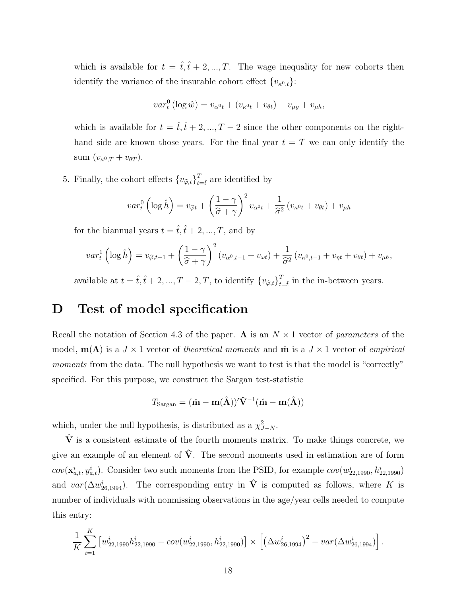which is available for  $t = \hat{t}, \hat{t} + 2, ..., T$ . The wage inequality for new cohorts then identify the variance of the insurable cohort effect  $\{v_{\kappa^0,t}\}$ :

$$
var_{t}^{0}(\log \hat{w}) = v_{\alpha^{0}t} + (v_{\kappa^{0}t} + v_{\theta t}) + v_{\mu y} + v_{\mu h},
$$

which is available for  $t = \hat{t}, \hat{t} + 2, ..., T - 2$  since the other components on the righthand side are known those years. For the final year  $t = T$  we can only identify the sum  $(v_{\kappa^0,T} + v_{\theta T}).$ 

5. Finally, the cohort effects  $\{v_{\hat{\varphi},t}\}_{t=\hat{t}}^T$  are identified by

$$
var_t^0 \left( \log \hat{h} \right) = v_{\hat{\varphi}t} + \left( \frac{1 - \gamma}{\hat{\sigma} + \gamma} \right)^2 v_{\alpha^0 t} + \frac{1}{\hat{\sigma}^2} \left( v_{\kappa^0 t} + v_{\theta t} \right) + v_{\mu h}
$$

for the biannual years  $t = \hat{t}, \hat{t} + 2, ..., T$ , and by

$$
var_t^1\left(\log \hat{h}\right) = v_{\widehat{\varphi},t-1} + \left(\frac{1-\gamma}{\widehat{\sigma}+\gamma}\right)^2 \left(v_{\alpha^0,t-1} + v_{\omega t}\right) + \frac{1}{\widehat{\sigma}^2}\left(v_{\kappa^0,t-1} + v_{\eta t} + v_{\theta t}\right) + v_{\mu h},
$$

available at  $t = \hat{t}, \hat{t} + 2, ..., T - 2, T$ , to identify  $\{v_{\hat{\varphi},t}\}_{t=1}^T$  $t_{t=\hat{t}}$  in the in-between years.

### D Test of model specification

Recall the notation of Section 4.3 of the paper.  $\Lambda$  is an  $N \times 1$  vector of *parameters* of the model,  $m(\Lambda)$  is a  $J \times 1$  vector of *theoretical moments* and  $\hat{m}$  is a  $J \times 1$  vector of *empirical moments* from the data. The null hypothesis we want to test is that the model is "correctly" specified. For this purpose, we construct the Sargan test-statistic

$$
T_{\text{Sargan}} = (\hat{\mathbf{m}} - \mathbf{m}(\hat{\Lambda}))'\hat{\mathbf{V}}^{-1}(\hat{\mathbf{m}} - \mathbf{m}(\hat{\Lambda}))
$$

which, under the null hypothesis, is distributed as a  $\chi^2_{J-N}$ .

 $\hat{V}$  is a consistent estimate of the fourth moments matrix. To make things concrete, we give an example of an element of  $\hat{V}$ . The second moments used in estimation are of form  $cov(\mathbf{x}_{a,t}^i, y_{a,t}^i)$ . Consider two such moments from the PSID, for example  $cov(w_{22,1990}^i, h_{22,1990}^i)$ and  $var(\Delta w_{26,1994}^i)$ . The corresponding entry in  $\hat{V}$  is computed as follows, where K is number of individuals with nonmissing observations in the age/year cells needed to compute this entry:

$$
\frac{1}{K} \sum_{i=1}^{K} \left[ w_{22,1990}^{i} h_{22,1990}^{i} - cov(w_{22,1990}^{i}, h_{22,1990}^{i}) \right] \times \left[ \left( \Delta w_{26,1994}^{i} \right)^{2} - var(\Delta w_{26,1994}^{i}) \right].
$$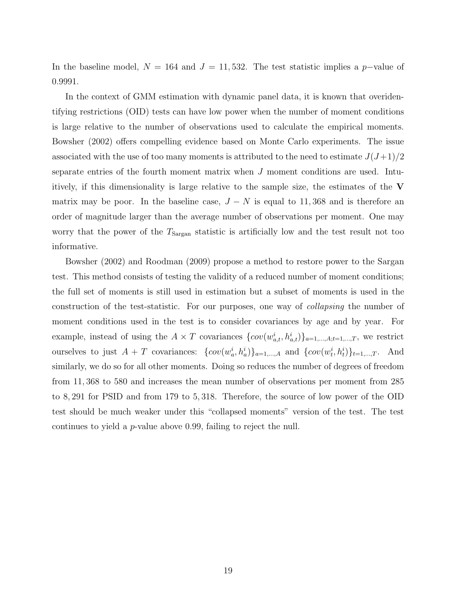In the baseline model,  $N = 164$  and  $J = 11,532$ . The test statistic implies a p-value of 0.9991.

In the context of GMM estimation with dynamic panel data, it is known that overidentifying restrictions (OID) tests can have low power when the number of moment conditions is large relative to the number of observations used to calculate the empirical moments. Bowsher (2002) offers compelling evidence based on Monte Carlo experiments. The issue associated with the use of too many moments is attributed to the need to estimate  $J(J+1)/2$ separate entries of the fourth moment matrix when J moment conditions are used. Intuitively, if this dimensionality is large relative to the sample size, the estimates of the  $V$ matrix may be poor. In the baseline case,  $J - N$  is equal to 11,368 and is therefore an order of magnitude larger than the average number of observations per moment. One may worry that the power of the  $T_{Sargan}$  statistic is artificially low and the test result not too informative.

Bowsher (2002) and Roodman (2009) propose a method to restore power to the Sargan test. This method consists of testing the validity of a reduced number of moment conditions; the full set of moments is still used in estimation but a subset of moments is used in the construction of the test-statistic. For our purposes, one way of *collapsing* the number of moment conditions used in the test is to consider covariances by age and by year. For example, instead of using the  $A \times T$  covariances  $\{cov(w_{a,t}^i, h_{a,t}^i)\}_{a=1,\dots,A; t=1,\dots,T}$ , we restrict ourselves to just  $A + T$  covariances:  $\{cov(w_a^i, h_a^i)\}_{a=1,\dots,A}$  and  $\{cov(w_t^i, h_t^i)\}_{t=1,\dots,T}$ . And similarly, we do so for all other moments. Doing so reduces the number of degrees of freedom from 11, 368 to 580 and increases the mean number of observations per moment from 285 to 8, 291 for PSID and from 179 to 5, 318. Therefore, the source of low power of the OID test should be much weaker under this "collapsed moments" version of the test. The test continues to yield a p-value above 0.99, failing to reject the null.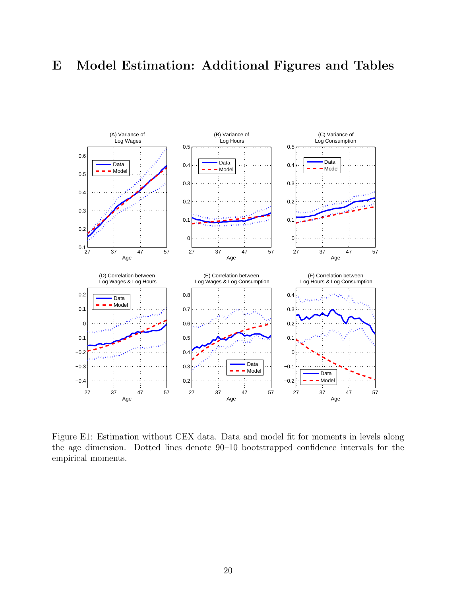## E Model Estimation: Additional Figures and Tables



Figure E1: Estimation without CEX data. Data and model fit for moments in levels along the age dimension. Dotted lines denote 90–10 bootstrapped confidence intervals for the empirical moments.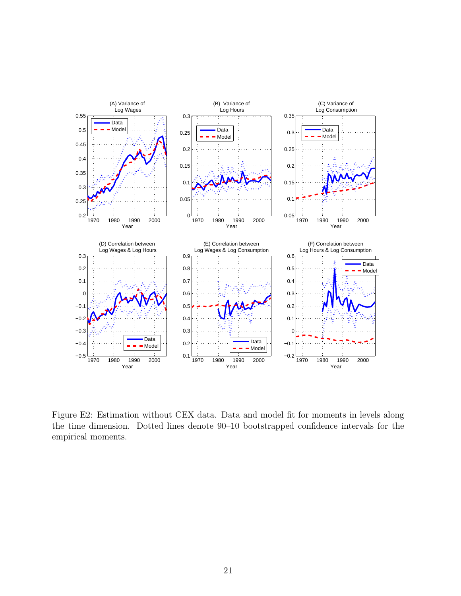

Figure E2: Estimation without CEX data. Data and model fit for moments in levels along the time dimension. Dotted lines denote 90–10 bootstrapped confidence intervals for the empirical moments.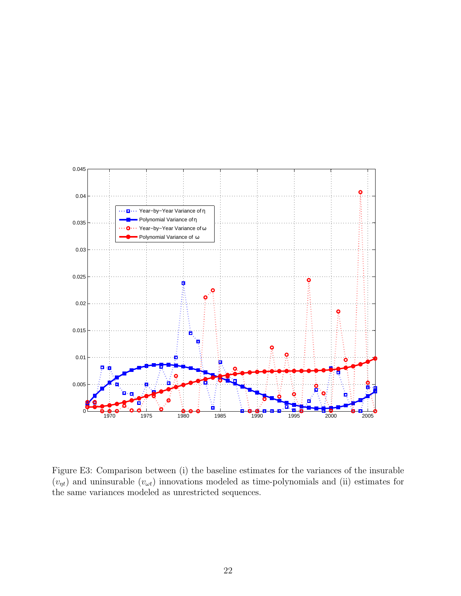

Figure E3: Comparison between (i) the baseline estimates for the variances of the insurable  $(v_{nt})$  and uninsurable  $(v_{\omega t})$  innovations modeled as time-polynomials and (ii) estimates for the same variances modeled as unrestricted sequences.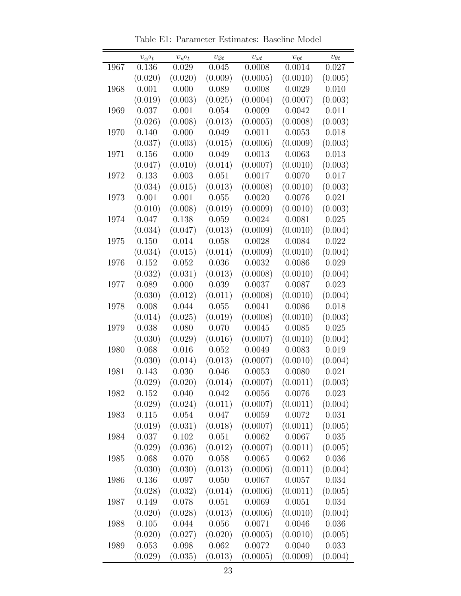|      | $v_{\alpha}$ <sup>0</sup> t | $v_{\kappa^0 t}$ | $v_{\widehat{\varphi}t}$ | $v_{\omega t}$ | $v_{\eta t}$ | $v_{\theta t}$ |
|------|-----------------------------|------------------|--------------------------|----------------|--------------|----------------|
| 1967 | 0.136                       | 0.029            | 0.045                    | 0.0008         | 0.0014       | 0.027          |
|      | (0.020)                     | (0.020)          | (0.009)                  | (0.0005)       | (0.0010)     | (0.005)        |
| 1968 | 0.001                       | 0.000            | 0.089                    | 0.0008         | 0.0029       | 0.010          |
|      | (0.019)                     | (0.003)          | (0.025)                  | (0.0004)       | (0.0007)     | (0.003)        |
| 1969 | 0.037                       | 0.001            | 0.054                    | 0.0009         | 0.0042       | 0.011          |
|      | (0.026)                     | (0.008)          | (0.013)                  | (0.0005)       | (0.0008)     | (0.003)        |
| 1970 | 0.140                       | 0.000            | 0.049                    | 0.0011         | 0.0053       | 0.018          |
|      | (0.037)                     | (0.003)          | (0.015)                  | (0.0006)       | (0.0009)     | (0.003)        |
| 1971 | 0.156                       | 0.000            | 0.049                    | 0.0013         | 0.0063       | 0.013          |
|      | (0.047)                     | (0.010)          | (0.014)                  | (0.0007)       | (0.0010)     | (0.003)        |
| 1972 | 0.133                       | 0.003            | 0.051                    | 0.0017         | 0.0070       | 0.017          |
|      | (0.034)                     | (0.015)          | (0.013)                  | (0.0008)       | (0.0010)     | (0.003)        |
| 1973 | 0.001                       | 0.001            | 0.055                    | 0.0020         | 0.0076       | 0.021          |
|      | (0.010)                     | (0.008)          | (0.019)                  | (0.0009)       | (0.0010)     | (0.003)        |
| 1974 | 0.047                       | 0.138            | 0.059                    | 0.0024         | 0.0081       | 0.025          |
|      | (0.034)                     | (0.047)          | (0.013)                  | (0.0009)       | (0.0010)     | (0.004)        |
| 1975 | 0.150                       | 0.014            | 0.058                    | 0.0028         | 0.0084       | 0.022          |
|      | (0.034)                     | (0.015)          | (0.014)                  | (0.0009)       | (0.0010)     | (0.004)        |
| 1976 | 0.152                       | 0.052            | 0.036                    | 0.0032         | 0.0086       | 0.029          |
|      | (0.032)                     | (0.031)          | (0.013)                  | (0.0008)       | (0.0010)     | (0.004)        |
| 1977 | 0.089                       | 0.000            | 0.039                    | 0.0037         | 0.0087       | 0.023          |
|      | (0.030)                     | (0.012)          | (0.011)                  | (0.0008)       | (0.0010)     | (0.004)        |
| 1978 | 0.008                       | 0.044            | 0.055                    | 0.0041         | 0.0086       | 0.018          |
|      | (0.014)                     | (0.025)          | (0.019)                  | (0.0008)       | (0.0010)     | (0.003)        |
| 1979 | 0.038                       | 0.080            | 0.070                    | 0.0045         | 0.0085       | 0.025          |
|      | (0.030)                     | (0.029)          | (0.016)                  | (0.0007)       | (0.0010)     | (0.004)        |
| 1980 | 0.068                       | 0.016            | 0.052                    | 0.0049         | 0.0083       | 0.019          |
|      | (0.030)                     | (0.014)          | (0.013)                  | (0.0007)       | (0.0010)     | (0.004)        |
| 1981 | 0.143                       | 0.030            | 0.046                    | 0.0053         | 0.0080       | 0.021          |
|      | (0.029)                     | (0.020)          | (0.014)                  | (0.0007)       | (0.0011)     | (0.003)        |
| 1982 | 0.152                       | 0.040            | 0.042                    | 0.0056         | 0.0076       | 0.023          |
|      | (0.029)                     | (0.024)          | (0.011)                  | (0.0007)       | (0.0011)     | (0.004)        |
| 1983 | 0.115                       | 0.054            | 0.047                    | 0.0059         | 0.0072       | 0.031          |
|      | (0.019)                     | (0.031)          | (0.018)                  | (0.0007)       | (0.0011)     | (0.005)        |
| 1984 | 0.037                       | 0.102            | 0.051                    | 0.0062         | 0.0067       | 0.035          |
|      | (0.029)                     | (0.036)          | (0.012)                  | (0.0007)       | (0.0011)     | (0.005)        |
| 1985 | 0.068                       | 0.070            | 0.058                    | 0.0065         | 0.0062       | 0.036          |
|      | (0.030)                     | (0.030)          | (0.013)                  | (0.0006)       | (0.0011)     | (0.004)        |
| 1986 | 0.136                       | 0.097            | 0.050                    | 0.0067         | 0.0057       | 0.034          |
|      | (0.028)                     | (0.032)          | (0.014)                  | (0.0006)       | (0.0011)     | (0.005)        |
| 1987 | 0.149                       | 0.078            | $0.051\,$                | 0.0069         | 0.0051       | 0.034          |
|      | (0.020)                     | (0.028)          | (0.013)                  | (0.0006)       | (0.0010)     | (0.004)        |
| 1988 | 0.105                       | 0.044            | 0.056                    | 0.0071         | 0.0046       | 0.036          |
|      | (0.020)                     | (0.027)          | (0.020)                  | (0.0005)       | (0.0010)     | (0.005)        |
| 1989 | 0.053                       | 0.098            | 0.062                    | 0.0072         | 0.0040       | 0.033          |
|      | (0.029)                     | (0.035)          | (0.013)                  | (0.0005)       | (0.0009)     | (0.004)        |

Table E1: Parameter Estimates: Baseline Model